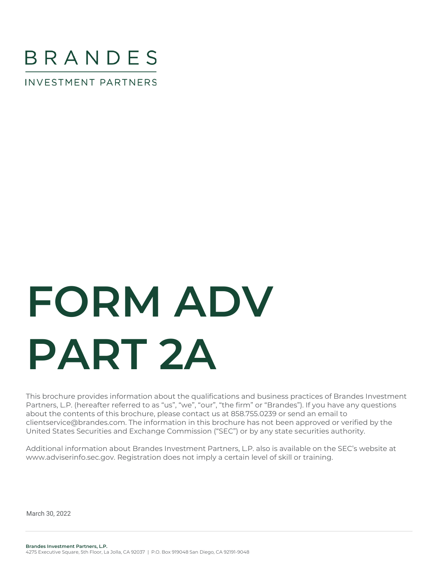

**INVESTMENT PARTNERS** 

# **FORM ADV PART 2A**

This brochure provides information about the qualifications and business practices of Brandes Investment Partners, L.P. (hereafter referred to as "us", "we", "our", "the firm" or "Brandes"). If you have any questions about the contents of this brochure, please contact us at 858.755.0239 or send an email to clientservice@brandes.com. The information in this brochure has not been approved or verified by the United States Securities and Exchange Commission ("SEC") or by any state securities authority.

Additional information about Brandes Investment Partners, L.P. also is available on the SEC's website at www.adviserinfo.sec.gov. Registration does not imply a certain level of skill or training.

 $M$ and  $20, 2022$ March 30, 2022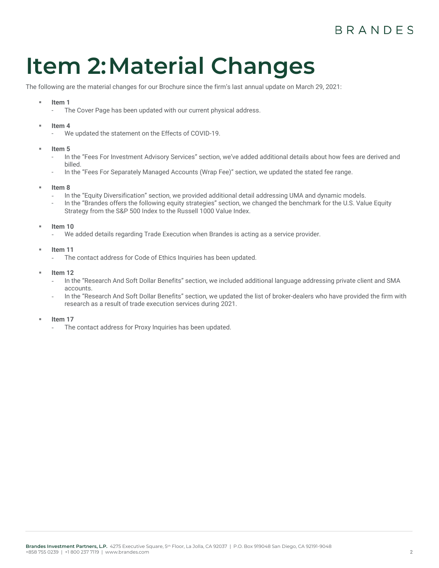# **BRANDES**

# <span id="page-1-0"></span>**Item 2:Material Changes**

The following are the material changes for our Brochure since the firm's last annual update on March 29, 2021:

#### Item 1

- The Cover Page has been updated with our current physical address.
- Item 4
	- We updated the statement on the Effects of COVID-19.
- **Item 5**
	- In the "Fees For Investment Advisory Services" section, we've added additional details about how fees are derived and billed.
	- In the "Fees For Separately Managed Accounts (Wrap Fee)" section, we updated the stated fee range.
- Item 8
	- In the "Equity Diversification" section, we provided additional detail addressing UMA and dynamic models.
	- In the "Brandes offers the following equity strategies" section, we changed the benchmark for the U.S. Value Equity Strategy from the S&P 500 Index to the Russell 1000 Value Index.
- **Item 10** 
	- We added details regarding Trade Execution when Brandes is acting as a service provider.
- **Item 11** 
	- The contact address for Code of Ethics Inquiries has been updated.
- **Item 12** 
	- In the "Research And Soft Dollar Benefits" section, we included additional language addressing private client and SMA accounts.
	- In the "Research And Soft Dollar Benefits" section, we updated the list of broker-dealers who have provided the firm with research as a result of trade execution services during 2021.
- **Item 17** 
	- The contact address for Proxy Inquiries has been updated.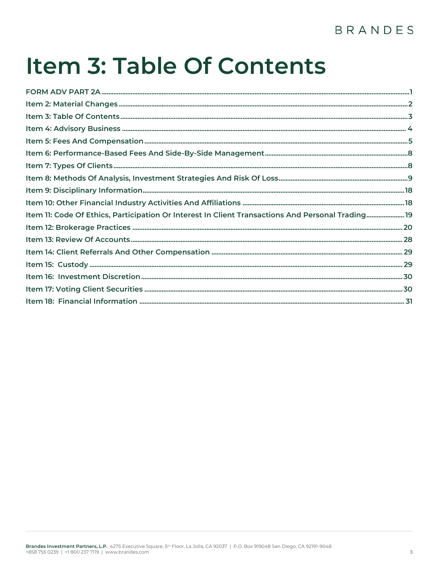# BRANDES

# <span id="page-2-0"></span>Item 3: Table Of Contents

| Item 11: Code Of Ethics, Participation Or Interest In Client Transactions And Personal Trading19 |  |
|--------------------------------------------------------------------------------------------------|--|
|                                                                                                  |  |
|                                                                                                  |  |
|                                                                                                  |  |
|                                                                                                  |  |
|                                                                                                  |  |
|                                                                                                  |  |
|                                                                                                  |  |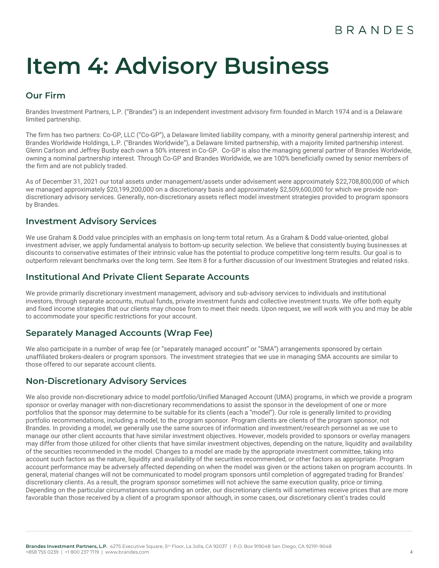# <span id="page-3-0"></span>**Item 4: Advisory Business**

# **Our Firm**

Brandes Investment Partners, L.P. ("Brandes") is an independent investment advisory firm founded in March 1974 and is a Delaware limited partnership.

The firm has two partners: Co-GP, LLC ("Co-GP"), a Delaware limited liability company, with a minority general partnership interest; and Brandes Worldwide Holdings, L.P. ("Brandes Worldwide"), a Delaware limited partnership, with a majority limited partnership interest. Glenn Carlson and Jeffrey Busby each own a 50% interest in Co-GP. Co-GP is also the managing general partner of Brandes Worldwide, owning a nominal partnership interest. Through Co-GP and Brandes Worldwide, we are 100% beneficially owned by senior members of the firm and are not publicly traded.

As of December 31, 2021 our total assets under management/assets under advisement were approximately \$22,708,800,000 of which we managed approximately \$20,199,200,000 on a discretionary basis and approximately \$2,509,600,000 for which we provide nondiscretionary advisory services. Generally, non-discretionary assets reflect model investment strategies provided to program sponsors by Brandes.

# **Investment Advisory Services**

We use Graham & Dodd value principles with an emphasis on long-term total return. As a Graham & Dodd value-oriented, global investment adviser, we apply fundamental analysis to bottom-up security selection. We believe that consistently buying businesses at discounts to conservative estimates of their intrinsic value has the potential to produce competitive long-term results. Our goal is to outperform relevant benchmarks over the long term. See Item 8 for a further discussion of our Investment Strategies and related risks.

# **Institutional And Private Client Separate Accounts**

We provide primarily discretionary investment management, advisory and sub-advisory services to individuals and institutional investors, through separate accounts, mutual funds, private investment funds and collective investment trusts. We offer both equity and fixed income strategies that our clients may choose from to meet their needs. Upon request, we will work with you and may be able to accommodate your specific restrictions for your account.

# **Separately Managed Accounts (Wrap Fee)**

We also participate in a number of wrap fee (or "separately managed account" or "SMA") arrangements sponsored by certain unaffiliated brokers-dealers or program sponsors. The investment strategies that we use in managing SMA accounts are similar to those offered to our separate account clients.

# **Non-Discretionary Advisory Services**

We also provide non-discretionary advice to model portfolio/Unified Managed Account (UMA) programs, in which we provide a program sponsor or overlay manager with non-discretionary recommendations to assist the sponsor in the development of one or more portfolios that the sponsor may determine to be suitable for its clients (each a "model"). Our role is generally limited to providing portfolio recommendations, including a model, to the program sponsor. Program clients are clients of the program sponsor, not Brandes. In providing a model, we generally use the same sources of information and investment/research personnel as we use to manage our other client accounts that have similar investment objectives. However, models provided to sponsors or overlay managers may differ from those utilized for other clients that have similar investment objectives, depending on the nature, liquidity and availability of the securities recommended in the model. Changes to a model are made by the appropriate investment committee, taking into account such factors as the nature, liquidity and availability of the securities recommended, or other factors as appropriate. Program account performance may be adversely affected depending on when the model was given or the actions taken on program accounts. In general, material changes will not be communicated to model program sponsors until completion of aggregated trading for Brandes' discretionary clients. As a result, the program sponsor sometimes will not achieve the same execution quality, price or timing. Depending on the particular circumstances surrounding an order, our discretionary clients will sometimes receive prices that are more favorable than those received by a client of a program sponsor although, in some cases, our discretionary client's trades could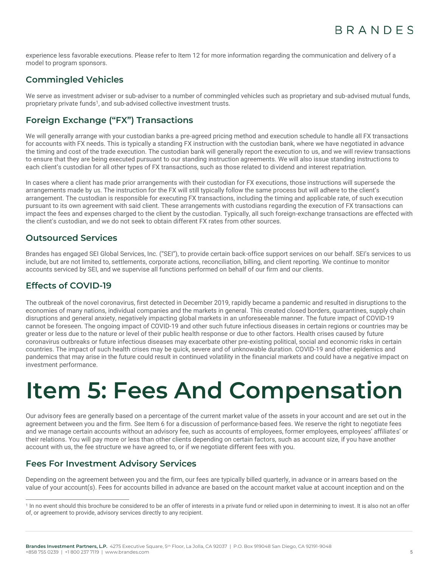experience less favorable executions. Please refer to Item 12 for more information regarding the communication and delivery of a model to program sponsors.

# **Commingled Vehicles**

We serve as investment adviser or sub-adviser to a number of commingled vehicles such as proprietary and sub-advised mutual funds, proprietary private funds<sup>1</sup>, and sub-advised collective investment trusts.

# **Foreign Exchange ("FX") Transactions**

We will generally arrange with your custodian banks a pre-agreed pricing method and execution schedule to handle all FX transactions for accounts with FX needs. This is typically a standing FX instruction with the custodian bank, where we have negotiated in advance the timing and cost of the trade execution. The custodian bank will generally report the execution to us, and we will review transactions to ensure that they are being executed pursuant to our standing instruction agreements. We will also issue standing instructions to each client's custodian for all other types of FX transactions, such as those related to dividend and interest repatriation.

In cases where a client has made prior arrangements with their custodian for FX executions, those instructions will supersede the arrangements made by us. The instruction for the FX will still typically follow the same process but will adhere to the client's arrangement. The custodian is responsible for executing FX transactions, including the timing and applicable rate, of such execution pursuant to its own agreement with said client. These arrangements with custodians regarding the execution of FX transactions can impact the fees and expenses charged to the client by the custodian. Typically, all such foreign-exchange transactions are effected with the client's custodian, and we do not seek to obtain different FX rates from other sources.

# **Outsourced Services**

Brandes has engaged SEI Global Services, Inc. ("SEI"), to provide certain back-office support services on our behalf. SEI's services to us include, but are not limited to, settlements, corporate actions, reconciliation, billing, and client reporting. We continue to monitor accounts serviced by SEI, and we supervise all functions performed on behalf of our firm and our clients.

# **Effects of COVID-19**

The outbreak of the novel coronavirus, first detected in December 2019, rapidly became a pandemic and resulted in disruptions to the economies of many nations, individual companies and the markets in general. This created closed borders, quarantines, supply chain disruptions and general anxiety, negatively impacting global markets in an unforeseeable manner. The future impact of COVID-19 cannot be foreseen. The ongoing impact of COVID-19 and other such future infectious diseases in certain regions or countries may be greater or less due to the nature or level of their public health response or due to other factors. Health crises caused by future coronavirus outbreaks or future infectious diseases may exacerbate other pre-existing political, social and economic risks in certain countries. The impact of such health crises may be quick, severe and of unknowable duration. COVID-19 and other epidemics and pandemics that may arise in the future could result in continued volatility in the financial markets and could have a negative impact on investment performance.

# <span id="page-4-0"></span>**Item 5: Fees And Compensation**

Our advisory fees are generally based on a percentage of the current market value of the assets in your account and are set out in the agreement between you and the firm. See Item 6 for a discussion of performance-based fees. We reserve the right to negotiate fees and we manage certain accounts without an advisory fee, such as accounts of employees, former employees, employees' affiliates' or their relations. You will pay more or less than other clients depending on certain factors, such as account size, if you have another account with us, the fee structure we have agreed to, or if we negotiate different fees with you.

# **Fees For Investment Advisory Services**

Depending on the agreement between you and the firm, our fees are typically billed quarterly, in advance or in arrears based on the value of your account(s). Fees for accounts billed in advance are based on the account market value at account inception and on the

<sup>&</sup>lt;sup>1</sup> In no event should this brochure be considered to be an offer of interests in a private fund or relied upon in determining to invest. It is also not an offer of, or agreement to provide, advisory services directly to any recipient.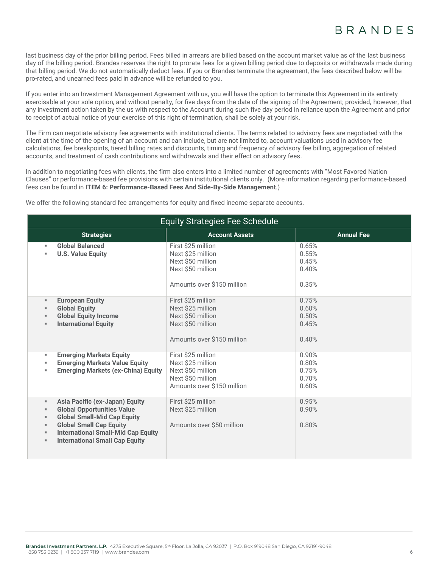last business day of the prior billing period. Fees billed in arrears are billed based on the account market value as of the last business day of the billing period. Brandes reserves the right to prorate fees for a given billing period due to deposits or withdrawals made during that billing period. We do not automatically deduct fees. If you or Brandes terminate the agreement, the fees described below will be pro-rated, and unearned fees paid in advance will be refunded to you.

If you enter into an Investment Management Agreement with us, you will have the option to terminate this Agreement in its entirety exercisable at your sole option, and without penalty, for five days from the date of the signing of the Agreement; provided, however, that any investment action taken by the us with respect to the Account during such five day period in reliance upon the Agreement and prior to receipt of actual notice of your exercise of this right of termination, shall be solely at your risk.

The Firm can negotiate advisory fee agreements with institutional clients. The terms related to advisory fees are negotiated with the client at the time of the opening of an account and can include, but are not limited to, account valuations used in advisory fee calculations, fee breakpoints, tiered billing rates and discounts, timing and frequency of advisory fee billing, aggregation of related accounts, and treatment of cash contributions and withdrawals and their effect on advisory fees.

In addition to negotiating fees with clients, the firm also enters into a limited number of agreements with "Most Favored Nation Clauses" or performance-based fee provisions with certain institutional clients only. (More information regarding performance-based fees can be found in **ITEM 6: Performance-Based Fees And Side-By-Side Management**.)

We offer the following standard fee arrangements for equity and fixed income separate accounts.

| <b>Equity Strategies Fee Schedule</b>                                                                                                                                                                                                                                                                                                        |                                                                                                                 |                                           |
|----------------------------------------------------------------------------------------------------------------------------------------------------------------------------------------------------------------------------------------------------------------------------------------------------------------------------------------------|-----------------------------------------------------------------------------------------------------------------|-------------------------------------------|
| <b>Strategies</b>                                                                                                                                                                                                                                                                                                                            | <b>Account Assets</b>                                                                                           | <b>Annual Fee</b>                         |
| <b>Global Balanced</b><br>$\mathbf{u}$<br><b>U.S. Value Equity</b><br>×                                                                                                                                                                                                                                                                      | First \$25 million<br>Next \$25 million<br>Next \$50 million<br>Next \$50 million<br>Amounts over \$150 million | 0.65%<br>0.55%<br>0.45%<br>0.40%<br>0.35% |
| <b>European Equity</b><br>$\mathbf{u}$<br><b>Global Equity</b><br>п<br><b>Global Equity Income</b><br>$\blacksquare$<br><b>International Equity</b><br>п                                                                                                                                                                                     | First \$25 million<br>Next \$25 million<br>Next \$50 million<br>Next \$50 million<br>Amounts over \$150 million | 0.75%<br>0.60%<br>0.50%<br>0.45%<br>0.40% |
| <b>Emerging Markets Equity</b><br>н<br><b>Emerging Markets Value Equity</b><br>п<br><b>Emerging Markets (ex-China) Equity</b><br>п                                                                                                                                                                                                           | First \$25 million<br>Next \$25 million<br>Next \$50 million<br>Next \$50 million<br>Amounts over \$150 million | 0.90%<br>0.80%<br>0.75%<br>0.70%<br>0.60% |
| <b>Asia Pacific (ex-Japan) Equity</b><br>$\mathbf{u}$<br><b>Global Opportunities Value</b><br>$\blacksquare$<br><b>Global Small-Mid Cap Equity</b><br>$\mathbf{u}$<br><b>Global Small Cap Equity</b><br>$\mathbf{u}$<br><b>International Small-Mid Cap Equity</b><br>$\mathbf{u}$<br><b>International Small Cap Equity</b><br>$\blacksquare$ | First \$25 million<br>Next \$25 million<br>Amounts over \$50 million                                            | 0.95%<br>0.90%<br>0.80%                   |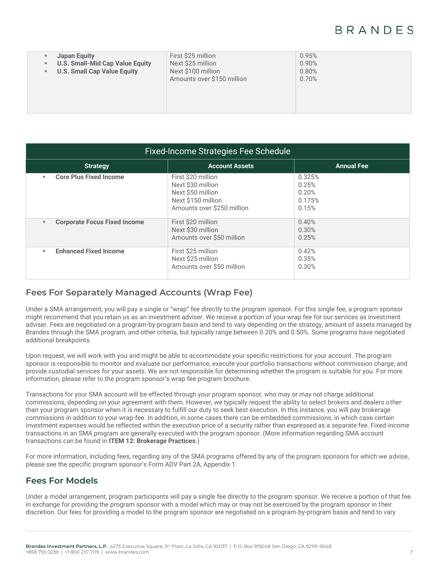# **BRANDES**

| н.<br>н. | Japan Equity<br><b>U.S. Small-Mid Cap Value Equity</b><br><b>U.S. Small Cap Value Equity</b> | First \$25 million<br>Next \$25 million<br>Next \$100 million<br>Amounts over \$150 million | 0.95%<br>0.90%<br>0.80%<br>0.70% |
|----------|----------------------------------------------------------------------------------------------|---------------------------------------------------------------------------------------------|----------------------------------|
|----------|----------------------------------------------------------------------------------------------|---------------------------------------------------------------------------------------------|----------------------------------|

| <b>Fixed-Income Strategies Fee Schedule</b>           |                                                                                                                  |                                             |  |
|-------------------------------------------------------|------------------------------------------------------------------------------------------------------------------|---------------------------------------------|--|
| <b>Strategy</b>                                       | <b>Account Assets</b>                                                                                            | <b>Annual Fee</b>                           |  |
| <b>Core Plus Fixed Income</b><br>٠                    | First \$20 million<br>Next \$30 million<br>Next \$50 million<br>Next \$150 million<br>Amounts over \$250 million | 0.325%<br>0.25%<br>0.20%<br>0.175%<br>0.15% |  |
| <b>Corporate Focus Fixed Income</b><br>$\blacksquare$ | First \$20 million<br>Next \$30 million<br>Amounts over \$50 million                                             | 0.40%<br>0.30%<br>0.25%                     |  |
| <b>Enhanced Fixed Income</b><br>٠                     | First \$25 million<br>Next \$25 million<br>Amounts over \$50 million                                             | 0.42%<br>0.35%<br>0.30%                     |  |

### **Fees For Separately Managed Accounts (Wrap Fee)**

Under a SMA arrangement, you will pay a single or "wrap" fee directly to the program sponsor. For this single fee, a program sponsor might recommend that you retain us as an investment adviser. We receive a portion of your wrap fee for our services as investment adviser. Fees are negotiated on a program-by-program basis and tend to vary depending on the strategy, amount of assets managed by Brandes through the SMA program, and other criteria, but typically range between 0.20% and 0.50%. Some programs have negotiated additional breakpoints.

Upon request, we will work with you and might be able to accommodate your specific restrictions for your account. The program sponsor is responsible to monitor and evaluate our performance, execute your portfolio transactions without commission charge; and provide custodial services for your assets. We are not responsible for determining whether the program is suitable for you. For more information, please refer to the program sponsor's wrap fee program brochure.

Transactions for your SMA account will be effected through your program sponsor, who may or may not charge additional commissions, depending on your agreement with them. However, we typically request the ability to select brokers and dealers other than your program sponsor when it is necessary to fulfill our duty to seek best execution. In this instance, you will pay brokerage commissions in addition to your wrap-fee. In addition, in some cases there can be embedded commissions, in which case certain investment expenses would be reflected within the execution price of a security rather than expressed as a separate fee. Fixed-income transactions in an SMA program are generally executed with the program sponsor. (More information regarding SMA account transactions can be found in **ITEM 12: Brokerage Practices**.)

For more information, including fees, regarding any of the SMA programs offered by any of the program sponsors for which we advise, please see the specific program sponsor's Form ADV Part 2A, Appendix 1.

# **Fees For Models**

Under a model arrangement, program participants will pay a single fee directly to the program sponsor. We receive a portion of that fee in exchange for providing the program sponsor with a model which may or may not be exercised by the program sponsor in their discretion. Our fees for providing a model to the program sponsor are negotiated on a program-by-program basis and tend to vary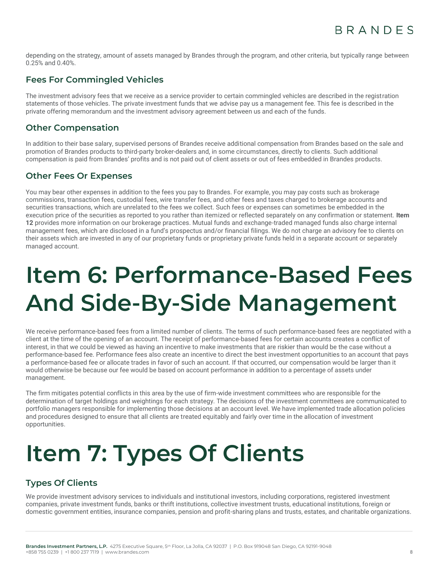depending on the strategy, amount of assets managed by Brandes through the program, and other criteria, but typically range between 0.25% and 0.40%.

# **Fees For Commingled Vehicles**

The investment advisory fees that we receive as a service provider to certain commingled vehicles are described in the registration statements of those vehicles. The private investment funds that we advise pay us a management fee. This fee is described in the private offering memorandum and the investment advisory agreement between us and each of the funds.

# **Other Compensation**

In addition to their base salary, supervised persons of Brandes receive additional compensation from Brandes based on the sale and promotion of Brandes products to third-party broker-dealers and, in some circumstances, directly to clients. Such additional compensation is paid from Brandes' profits and is not paid out of client assets or out of fees embedded in Brandes products.

### **Other Fees Or Expenses**

You may bear other expenses in addition to the fees you pay to Brandes. For example, you may pay costs such as brokerage commissions, transaction fees, custodial fees, wire transfer fees, and other fees and taxes charged to brokerage accounts and securities transactions, which are unrelated to the fees we collect. Such fees or expenses can sometimes be embedded in the execution price of the securities as reported to you rather than itemized or reflected separately on any confirmation or statement. **Item 12** provides more information on our brokerage practices. Mutual funds and exchange-traded managed funds also charge internal management fees, which are disclosed in a fund's prospectus and/or financial filings. We do not charge an advisory fee to clients on their assets which are invested in any of our proprietary funds or proprietary private funds held in a separate account or separately managed account.

# <span id="page-7-0"></span>**Item 6: Performance-Based Fees And Side-By-Side Management**

We receive performance-based fees from a limited number of clients. The terms of such performance-based fees are negotiated with a client at the time of the opening of an account. The receipt of performance-based fees for certain accounts creates a conflict of interest, in that we could be viewed as having an incentive to make investments that are riskier than would be the case without a performance-based fee. Performance fees also create an incentive to direct the best investment opportunities to an account that pays a performance-based fee or allocate trades in favor of such an account. If that occurred, our compensation would be larger than it would otherwise be because our fee would be based on account performance in addition to a percentage of assets under management.

The firm mitigates potential conflicts in this area by the use of firm-wide investment committees who are responsible for the determination of target holdings and weightings for each strategy. The decisions of the investment committees are communicated to portfolio managers responsible for implementing those decisions at an account level. We have implemented trade allocation policies and procedures designed to ensure that all clients are treated equitably and fairly over time in the allocation of investment opportunities.

# <span id="page-7-1"></span>**Item 7: Types Of Clients**

# **Types Of Clients**

We provide investment advisory services to individuals and institutional investors, including corporations, registered investment companies, private investment funds, banks or thrift institutions, collective investment trusts, educational institutions, foreign or domestic government entities, insurance companies, pension and profit-sharing plans and trusts, estates, and charitable organizations.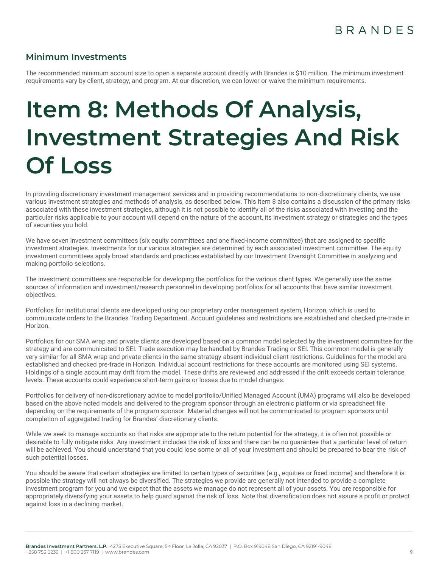### **Minimum Investments**

The recommended minimum account size to open a separate account directly with Brandes is \$10 million. The minimum investment requirements vary by client, strategy, and program. At our discretion, we can lower or waive the minimum requirements.

# <span id="page-8-0"></span>**Item 8: Methods Of Analysis, Investment Strategies And Risk Of Loss**

In providing discretionary investment management services and in providing recommendations to non-discretionary clients, we use various investment strategies and methods of analysis, as described below. This Item 8 also contains a discussion of the primary risks associated with these investment strategies, although it is not possible to identify all of the risks associated with investing and the particular risks applicable to your account will depend on the nature of the account, its investment strategy or strategies and the types of securities you hold.

We have seven investment committees (six equity committees and one fixed-income committee) that are assigned to specific investment strategies. Investments for our various strategies are determined by each associated investment committee. The equity investment committees apply broad standards and practices established by our Investment Oversight Committee in analyzing and making portfolio selections.

The investment committees are responsible for developing the portfolios for the various client types. We generally use the same sources of information and investment/research personnel in developing portfolios for all accounts that have similar investment objectives.

Portfolios for institutional clients are developed using our proprietary order management system, Horizon, which is used to communicate orders to the Brandes Trading Department. Account guidelines and restrictions are established and checked pre-trade in Horizon.

Portfolios for our SMA wrap and private clients are developed based on a common model selected by the investment committee for the strategy and are communicated to SEI. Trade execution may be handled by Brandes Trading or SEI. This common model is generally very similar for all SMA wrap and private clients in the same strategy absent individual client restrictions. Guidelines for the model are established and checked pre-trade in Horizon. Individual account restrictions for these accounts are monitored using SEI systems. Holdings of a single account may drift from the model. These drifts are reviewed and addressed if the drift exceeds certain tolerance levels. These accounts could experience short-term gains or losses due to model changes.

Portfolios for delivery of non-discretionary advice to model portfolio/Unified Managed Account (UMA) programs will also be developed based on the above noted models and delivered to the program sponsor through an electronic platform or via spreadsheet file depending on the requirements of the program sponsor. Material changes will not be communicated to program sponsors until completion of aggregated trading for Brandes' discretionary clients.

While we seek to manage accounts so that risks are appropriate to the return potential for the strategy, it is often not possible or desirable to fully mitigate risks. Any investment includes the risk of loss and there can be no guarantee that a particular level of return will be achieved. You should understand that you could lose some or all of your investment and should be prepared to bear the risk of such potential losses.

You should be aware that certain strategies are limited to certain types of securities (e.g., equities or fixed income) and therefore it is possible the strategy will not always be diversified. The strategies we provide are generally not intended to provide a complete investment program for you and we expect that the assets we manage do not represent all of your assets. You are responsible for appropriately diversifying your assets to help guard against the risk of loss. Note that diversification does not assure a profit or protect against loss in a declining market.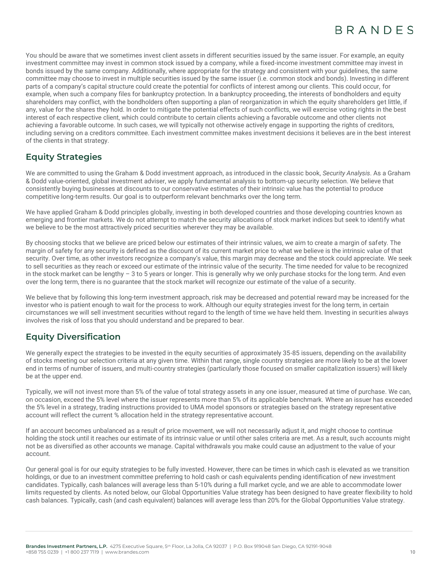You should be aware that we sometimes invest client assets in different securities issued by the same issuer. For example, an equity investment committee may invest in common stock issued by a company, while a fixed-income investment committee may invest in bonds issued by the same company. Additionally, where appropriate for the strategy and consistent with your guidelines, the same committee may choose to invest in multiple securities issued by the same issuer (i.e. common stock and bonds). Investing in different parts of a company's capital structure could create the potential for conflicts of interest among our clients. This could occur, for example, when such a company files for bankruptcy protection. In a bankruptcy proceeding, the interests of bondholders and equity shareholders may conflict, with the bondholders often supporting a plan of reorganization in which the equity shareholders get little, if any, value for the shares they hold. In order to mitigate the potential effects of such conflicts, we will exercise voting rights in the best interest of each respective client, which could contribute to certain clients achieving a favorable outcome and other clients not achieving a favorable outcome. In such cases, we will typically not otherwise actively engage in supporting the rights of creditors, including serving on a creditors committee. Each investment committee makes investment decisions it believes are in the best interest of the clients in that strategy.

# **Equity Strategies**

We are committed to using the Graham & Dodd investment approach, as introduced in the classic book, *Security Analysis*. As a Graham & Dodd value-oriented, global investment adviser, we apply fundamental analysis to bottom-up security selection. We believe that consistently buying businesses at discounts to our conservative estimates of their intrinsic value has the potential to produce competitive long-term results. Our goal is to outperform relevant benchmarks over the long term.

We have applied Graham & Dodd principles globally, investing in both developed countries and those developing countries known as emerging and frontier markets. We do not attempt to match the security allocations of stock market indices but seek to identify what we believe to be the most attractively priced securities wherever they may be available.

By choosing stocks that we believe are priced below our estimates of their intrinsic values, we aim to create a margin of safety. The margin of safety for any security is defined as the discount of its current market price to what we believe is the intrinsic value of that security. Over time, as other investors recognize a company's value, this margin may decrease and the stock could appreciate. We seek to sell securities as they reach or exceed our estimate of the intrinsic value of the security. The time needed for value to be recognized in the stock market can be lengthy – 3 to 5 years or longer. This is generally why we only purchase stocks for the long term. And even over the long term, there is no guarantee that the stock market will recognize our estimate of the value of a security.

We believe that by following this long-term investment approach, risk may be decreased and potential reward may be increased for the investor who is patient enough to wait for the process to work. Although our equity strategies invest for the long term, in certain circumstances we will sell investment securities without regard to the length of time we have held them. Investing in securities always involves the risk of loss that you should understand and be prepared to bear.

# **Equity Diversification**

We generally expect the strategies to be invested in the equity securities of approximately 35-85 issuers, depending on the availability of stocks meeting our selection criteria at any given time. Within that range, single country strategies are more likely to be at the lower end in terms of number of issuers, and multi-country strategies (particularly those focused on smaller capitalization issuers) will likely be at the upper end.

Typically, we will not invest more than 5% of the value of total strategy assets in any one issuer, measured at time of purchase. We can, on occasion, exceed the 5% level where the issuer represents more than 5% of its applicable benchmark. Where an issuer has exceeded the 5% level in a strategy, trading instructions provided to UMA model sponsors or strategies based on the strategy representative account will reflect the current % allocation held in the strategy representative account.

If an account becomes unbalanced as a result of price movement, we will not necessarily adjust it, and might choose to continue holding the stock until it reaches our estimate of its intrinsic value or until other sales criteria are met. As a result, such accounts might not be as diversified as other accounts we manage. Capital withdrawals you make could cause an adjustment to the value of your account.

Our general goal is for our equity strategies to be fully invested. However, there can be times in which cash is elevated as we transition holdings, or due to an investment committee preferring to hold cash or cash equivalents pending identification of new investment candidates. Typically, cash balances will average less than 5-10% during a full market cycle, and we are able to accommodate lower limits requested by clients. As noted below, our Global Opportunities Value strategy has been designed to have greater flexibility to hold cash balances. Typically, cash (and cash equivalent) balances will average less than 20% for the Global Opportunities Value strategy.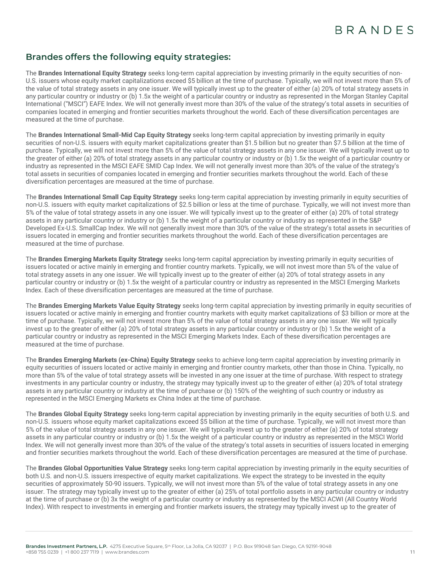# **Brandes offers the following equity strategies:**

The **Brandes International Equity Strategy** seeks long-term capital appreciation by investing primarily in the equity securities of non-U.S. issuers whose equity market capitalizations exceed \$5 billion at the time of purchase. Typically, we will not invest more than 5% of the value of total strategy assets in any one issuer. We will typically invest up to the greater of either (a) 20% of total strategy assets in any particular country or industry or (b) 1.5x the weight of a particular country or industry as represented in the Morgan Stanley Capital International ("MSCI") EAFE Index. We will not generally invest more than 30% of the value of the strategy's total assets in securities of companies located in emerging and frontier securities markets throughout the world. Each of these diversification percentages are measured at the time of purchase.

The **Brandes International Small-Mid Cap Equity Strategy** seeks long-term capital appreciation by investing primarily in equity securities of non-U.S. issuers with equity market capitalizations greater than \$1.5 billion but no greater than \$7.5 billion at the time of purchase. Typically, we will not invest more than 5% of the value of total strategy assets in any one issuer. We will typically invest up to the greater of either (a) 20% of total strategy assets in any particular country or industry or (b) 1.5x the weight of a particular country or industry as represented in the MSCI EAFE SMID Cap Index. We will not generally invest more than 30% of the value of the strategy's total assets in securities of companies located in emerging and frontier securities markets throughout the world. Each of these diversification percentages are measured at the time of purchase.

The **Brandes International Small Cap Equity Strategy** seeks long-term capital appreciation by investing primarily in equity securities of non-U.S. issuers with equity market capitalizations of \$2.5 billion or less at the time of purchase. Typically, we will not invest more than 5% of the value of total strategy assets in any one issuer. We will typically invest up to the greater of either (a) 20% of total strategy assets in any particular country or industry or (b) 1.5x the weight of a particular country or industry as represented in the S&P Developed Ex-U.S. SmallCap Index. We will not generally invest more than 30% of the value of the strategy's total assets in securities of issuers located in emerging and frontier securities markets throughout the world. Each of these diversification percentages are measured at the time of purchase.

The **Brandes Emerging Markets Equity Strategy** seeks long-term capital appreciation by investing primarily in equity securities of issuers located or active mainly in emerging and frontier country markets. Typically, we will not invest more than 5% of the value of total strategy assets in any one issuer. We will typically invest up to the greater of either (a) 20% of total strategy assets in any particular country or industry or (b) 1.5x the weight of a particular country or industry as represented in the MSCI Emerging Markets Index. Each of these diversification percentages are measured at the time of purchase.

The **Brandes Emerging Markets Value Equity Strategy** seeks long-term capital appreciation by investing primarily in equity securities of issuers located or active mainly in emerging and frontier country markets with equity market capitalizations of \$3 billion or more at the time of purchase. Typically, we will not invest more than 5% of the value of total strategy assets in any one issuer. We will typically invest up to the greater of either (a) 20% of total strategy assets in any particular country or industry or (b) 1.5x the weight of a particular country or industry as represented in the MSCI Emerging Markets Index. Each of these diversification percentages are measured at the time of purchase.

The **Brandes Emerging Markets (ex-China) Equity Strategy** seeks to achieve long-term capital appreciation by investing primarily in equity securities of issuers located or active mainly in emerging and frontier country markets, other than those in China. Typically, no more than 5% of the value of total strategy assets will be invested in any one issuer at the time of purchase. With respect to strategy investments in any particular country or industry, the strategy may typically invest up to the greater of either (a) 20% of total strategy assets in any particular country or industry at the time of purchase or (b) 150% of the weighting of such country or industry as represented in the MSCI Emerging Markets ex China Index at the time of purchase.

The **Brandes Global Equity Strategy** seeks long-term capital appreciation by investing primarily in the equity securities of both U.S. and non-U.S. issuers whose equity market capitalizations exceed \$5 billion at the time of purchase. Typically, we will not invest more than 5% of the value of total strategy assets in any one issuer. We will typically invest up to the greater of either (a) 20% of total strategy assets in any particular country or industry or (b) 1.5x the weight of a particular country or industry as represented in the MSCI World Index. We will not generally invest more than 30% of the value of the strategy's total assets in securities of issuers located in emerging and frontier securities markets throughout the world. Each of these diversification percentages are measured at the time of purchase.

The **Brandes Global Opportunities Value Strategy** seeks long-term capital appreciation by investing primarily in the equity securities of both U.S. and non-U.S. issuers irrespective of equity market capitalizations. We expect the strategy to be invested in the equity securities of approximately 50-90 issuers. Typically, we will not invest more than 5% of the value of total strategy assets in any one issuer. The strategy may typically invest up to the greater of either (a) 25% of total portfolio assets in any particular country or industry at the time of purchase or (b) 3x the weight of a particular country or industry as represented by the MSCI ACWI (All Country World Index). With respect to investments in emerging and frontier markets issuers, the strategy may typically invest up to the greater of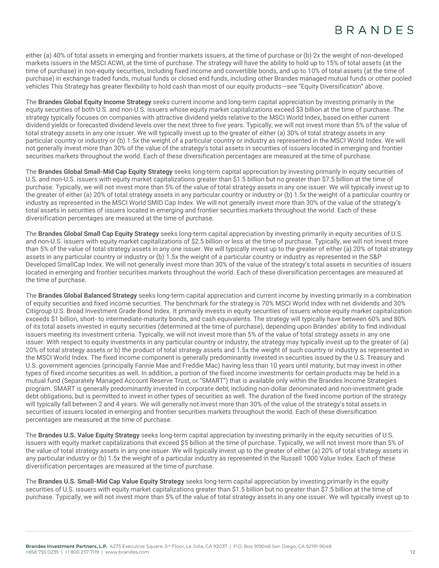either (a) 40% of total assets in emerging and frontier markets issuers, at the time of purchase or (b) 2x the weight of non-developed markets issuers in the MSCI ACWI, at the time of purchase. The strategy will have the ability to hold up to 15% of total assets (at the time of purchase) in non-equity securities, including fixed income and convertible bonds, and up to 10% of total assets (at the time of purchase) in exchange traded funds, mutual funds or closed end funds, including other Brandes managed mutual funds or other pooled vehicles This Strategy has greater flexibility to hold cash than most of our equity products—see "Equity Diversification" above.

The **Brandes Global Equity Income Strategy** seeks current income and long-term capital appreciation by investing primarily in the equity securities of both U.S. and non-U.S. issuers whose equity market capitalizations exceed \$3 billion at the time of purchase. The strategy typically focuses on companies with attractive dividend yields relative to the MSCI World Index, based on either current dividend yields or forecasted dividend levels over the next three to five years. Typically, we will not invest more than 5% of the value of total strategy assets in any one issuer. We will typically invest up to the greater of either (a) 30% of total strategy assets in any particular country or industry or (b) 1.5x the weight of a particular country or industry as represented in the MSCI World Index. We will not generally invest more than 30% of the value of the strategy's total assets in securities of issuers located in emerging and frontier securities markets throughout the world. Each of these diversification percentages are measured at the time of purchase.

The **Brandes Global Small-Mid Cap Equity Strategy** seeks long-term capital appreciation by investing primarily in equity securities of U.S. and non-U.S. issuers with equity market capitalizations greater than \$1.5 billion but no greater than \$7.5 billion at the time of purchase. Typically, we will not invest more than 5% of the value of total strategy assets in any one issuer. We will typically invest up to the greater of either (a) 20% of total strategy assets in any particular country or industry or (b) 1.5x the weight of a particular country or industry as represented in the MSCI World SMID Cap Index. We will not generally invest more than 30% of the value of the strategy's total assets in securities of issuers located in emerging and frontier securities markets throughout the world. Each of these diversification percentages are measured at the time of purchase.

The **Brandes Global Small Cap Equity Strategy** seeks long-term capital appreciation by investing primarily in equity securities of U.S. and non-U.S. issuers with equity market capitalizations of \$2.5 billion or less at the time of purchase. Typically, we will not invest more than 5% of the value of total strategy assets in any one issuer. We will typically invest up to the greater of either (a) 20% of total strategy assets in any particular country or industry or (b) 1.5x the weight of a particular country or industry as represented in the S&P Developed SmallCap Index. We will not generally invest more than 30% of the value of the strategy's total assets in securities of issuers located in emerging and frontier securities markets throughout the world. Each of these diversification percentages are measured at the time of purchase.

The **Brandes Global Balanced Strategy** seeks long-term capital appreciation and current income by investing primarily in a combination of equity securities and fixed income securities. The benchmark for the strategy is 70% MSCI World Index with net dividends and 30% Citigroup U.S. Broad Investment Grade Bond Index. It primarily invests in equity securities of issuers whose equity market capitalization exceeds \$1 billion, short- to intermediate-maturity bonds, and cash equivalents. The strategy will typically have between 60% and 80% of its total assets invested in equity securities (determined at the time of purchase), depending upon Brandes' ability to find individual issuers meeting its investment criteria. Typically, we will not invest more than 5% of the value of total strategy assets in any one issuer. With respect to equity investments in any particular country or industry, the strategy may typically invest up to the greater of (a) 20% of total strategy assets or b) the product of total strategy assets and 1.5x the weight of such country or industry as represented in the MSCI World Index. The fixed income component is generally predominantly invested in securities issued by the U.S. Treasury and U.S. government agencies (principally Fannie Mae and Freddie Mac) having less than 10 years until maturity, but may invest in other types of fixed income securities as well. In addition, a portion of the fixed income investments for certain products may be held in a mutual fund (Separately Managed Account Reserve Trust, or "SMART") that is available only within the Brandes Income Strategies program. SMART is generally predominantly invested in corporate debt, including non-dollar denominated and non-investment grade debt obligations, but is permitted to invest in other types of securities as well. The duration of the fixed income portion of the strategy will typically fall between 2 and 4 years. We will generally not invest more than 30% of the value of the strategy's total assets in securities of issuers located in emerging and frontier securities markets throughout the world. Each of these diversification percentages are measured at the time of purchase.

The **Brandes U.S. Value Equity Strategy** seeks long-term capital appreciation by investing primarily in the equity securities of U.S. issuers with equity market capitalizations that exceed \$5 billion at the time of purchase. Typically, we will not invest more than 5% of the value of total strategy assets in any one issuer. We will typically invest up to the greater of either (a) 20% of total strategy assets in any particular industry or (b) 1.5x the weight of a particular industry as represented in the Russell 1000 Value Index. Each of these diversification percentages are measured at the time of purchase.

The **Brandes U.S. Small-Mid Cap Value Equity Strategy** seeks long-term capital appreciation by investing primarily in the equity securities of U.S. issuers with equity market capitalizations greater than \$1.5 billion but no greater than \$7.5 billion at the time of purchase. Typically, we will not invest more than 5% of the value of total strategy assets in any one issuer. We will typically invest up to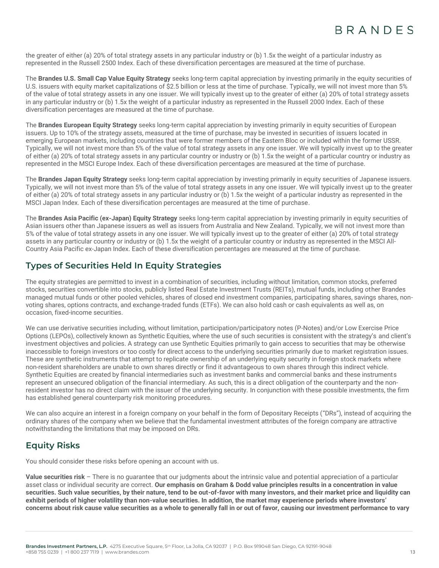the greater of either (a) 20% of total strategy assets in any particular industry or (b) 1.5x the weight of a particular industry as represented in the Russell 2500 Index. Each of these diversification percentages are measured at the time of purchase.

The **Brandes U.S. Small Cap Value Equity Strategy** seeks long-term capital appreciation by investing primarily in the equity securities of U.S. issuers with equity market capitalizations of \$2.5 billion or less at the time of purchase. Typically, we will not invest more than 5% of the value of total strategy assets in any one issuer. We will typically invest up to the greater of either (a) 20% of total strategy assets in any particular industry or (b) 1.5x the weight of a particular industry as represented in the Russell 2000 Index. Each of these diversification percentages are measured at the time of purchase.

The **Brandes European Equity Strategy** seeks long-term capital appreciation by investing primarily in equity securities of European issuers. Up to 10% of the strategy assets, measured at the time of purchase, may be invested in securities of issuers located in emerging European markets, including countries that were former members of the Eastern Bloc or included within the former USSR. Typically, we will not invest more than 5% of the value of total strategy assets in any one issuer. We will typically invest up to the greater of either (a) 20% of total strategy assets in any particular country or industry or (b) 1.5x the weight of a particular country or industry as represented in the MSCI Europe Index. Each of these diversification percentages are measured at the time of purchase.

The **Brandes Japan Equity Strategy** seeks long-term capital appreciation by investing primarily in equity securities of Japanese issuers. Typically, we will not invest more than 5% of the value of total strategy assets in any one issuer. We will typically invest up to the greater of either (a) 20% of total strategy assets in any particular industry or (b) 1.5x the weight of a particular industry as represented in the MSCI Japan Index. Each of these diversification percentages are measured at the time of purchase.

The **Brandes Asia Pacific (ex-Japan) Equity Strategy** seeks long-term capital appreciation by investing primarily in equity securities of Asian issuers other than Japanese issuers as well as issuers from Australia and New Zealand. Typically, we will not invest more than 5% of the value of total strategy assets in any one issuer. We will typically invest up to the greater of either (a) 20% of total strategy assets in any particular country or industry or (b) 1.5x the weight of a particular country or industry as represented in the MSCI All-Country Asia Pacific ex-Japan Index. Each of these diversification percentages are measured at the time of purchase.

# **Types of Securities Held In Equity Strategies**

The equity strategies are permitted to invest in a combination of securities, including without limitation, common stocks, preferred stocks, securities convertible into stocks, publicly listed Real Estate Investment Trusts (REITs), mutual funds, including other Brandes managed mutual funds or other pooled vehicles, shares of closed end investment companies, participating shares, savings shares, nonvoting shares, options contracts, and exchange-traded funds (ETFs). We can also hold cash or cash equivalents as well as, on occasion, fixed-income securities.

We can use derivative securities including, without limitation, participation/participatory notes (P-Notes) and/or Low Exercise Price Options (LEPOs), collectively known as Synthetic Equities, where the use of such securities is consistent with the strategy's and client's investment objectives and policies. A strategy can use Synthetic Equities primarily to gain access to securities that may be otherwise inaccessible to foreign investors or too costly for direct access to the underlying securities primarily due to market registration issues. These are synthetic instruments that attempt to replicate ownership of an underlying equity security in foreign stock markets where non-resident shareholders are unable to own shares directly or find it advantageous to own shares through this indirect vehicle. Synthetic Equities are created by financial intermediaries such as investment banks and commercial banks and these instruments represent an unsecured obligation of the financial intermediary. As such, this is a direct obligation of the counterparty and the nonresident investor has no direct claim with the issuer of the underlying security. In conjunction with these possible investments, the firm has established general counterparty risk monitoring procedures.

We can also acquire an interest in a foreign company on your behalf in the form of Depositary Receipts ("DRs"), instead of acquiring the ordinary shares of the company when we believe that the fundamental investment attributes of the foreign company are attractive notwithstanding the limitations that may be imposed on DRs.

# **Equity Risks**

You should consider these risks before opening an account with us.

**Value securities risk** – There is no guarantee that our judgments about the intrinsic value and potential appreciation of a particular asset class or individual security are correct. **Our emphasis on Graham & Dodd value principles results in a concentration in value securities. Such value securities, by their nature, tend to be out-of-favor with many investors, and their market price and liquidity can exhibit periods of higher volatility than non-value securities. In addition, the market may experience periods where investors' concerns about risk cause value securities as a whole to generally fall in or out of favor, causing our investment performance to vary**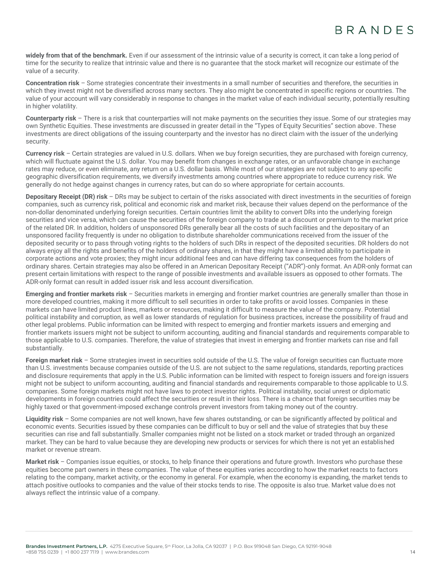**widely from that of the benchmark.** Even if our assessment of the intrinsic value of a security is correct, it can take a long period of time for the security to realize that intrinsic value and there is no guarantee that the stock market will recognize our estimate of the value of a security.

**Concentration risk** – Some strategies concentrate their investments in a small number of securities and therefore, the securities in which they invest might not be diversified across many sectors. They also might be concentrated in specific regions or countries. The value of your account will vary considerably in response to changes in the market value of each individual security, potentially resulting in higher volatility.

**Counterparty risk** – There is a risk that counterparties will not make payments on the securities they issue. Some of our strategies may own Synthetic Equities. These investments are discussed in greater detail in the "Types of Equity Securities" section above. These investments are direct obligations of the issuing counterparty and the investor has no direct claim with the issuer of the underlying security.

**Currency risk** – Certain strategies are valued in U.S. dollars. When we buy foreign securities, they are purchased with foreign currency, which will fluctuate against the U.S. dollar. You may benefit from changes in exchange rates, or an unfavorable change in exchange rates may reduce, or even eliminate, any return on a U.S. dollar basis. While most of our strategies are not subject to any specific geographic diversification requirements, we diversify investments among countries where appropriate to reduce currency risk. We generally do not hedge against changes in currency rates, but can do so where appropriate for certain accounts.

**Depositary Receipt (DR) risk** – DRs may be subject to certain of the risks associated with direct investments in the securities of foreign companies, such as currency risk, political and economic risk and market risk, because their values depend on the performance of the non-dollar denominated underlying foreign securities. Certain countries limit the ability to convert DRs into the underlying foreign securities and vice versa, which can cause the securities of the foreign company to trade at a discount or premium to the market price of the related DR. In addition, holders of unsponsored DRs generally bear all the costs of such facilities and the depositary of an unsponsored facility frequently is under no obligation to distribute shareholder communications received from the issuer of the deposited security or to pass through voting rights to the holders of such DRs in respect of the deposited securities. DR holders do not always enjoy all the rights and benefits of the holders of ordinary shares, in that they might have a limited ability to participate in corporate actions and vote proxies; they might incur additional fees and can have differing tax consequences from the holders of ordinary shares. Certain strategies may also be offered in an American Depositary Receipt ("ADR")-only format. An ADR-only format can present certain limitations with respect to the range of possible investments and available issuers as opposed to other formats. The ADR-only format can result in added issuer risk and less account diversification.

**Emerging and frontier markets risk** – Securities markets in emerging and frontier market countries are generally smaller than those in more developed countries, making it more difficult to sell securities in order to take profits or avoid losses. Companies in these markets can have limited product lines, markets or resources, making it difficult to measure the value of the company. Potential political instability and corruption, as well as lower standards of regulation for business practices, increase the possibility of fraud and other legal problems. Public information can be limited with respect to emerging and frontier markets issuers and emerging and frontier markets issuers might not be subject to uniform accounting, auditing and financial standards and requirements comparable to those applicable to U.S. companies. Therefore, the value of strategies that invest in emerging and frontier markets can rise and fall substantially.

**Foreign market risk** – Some strategies invest in securities sold outside of the U.S. The value of foreign securities can fluctuate more than U.S. investments because companies outside of the U.S. are not subject to the same regulations, standards, reporting practices and disclosure requirements that apply in the U.S. Public information can be limited with respect to foreign issuers and foreign issuers might not be subject to uniform accounting, auditing and financial standards and requirements comparable to those applicable to U.S. companies. Some foreign markets might not have laws to protect investor rights. Political instability, social unrest or diplomatic developments in foreign countries could affect the securities or result in their loss. There is a chance that foreign securities may be highly taxed or that government-imposed exchange controls prevent investors from taking money out of the country.

**Liquidity risk** – Some companies are not well known, have few shares outstanding, or can be significantly affected by political and economic events. Securities issued by these companies can be difficult to buy or sell and the value of strategies that buy these securities can rise and fall substantially. Smaller companies might not be listed on a stock market or traded through an organized market. They can be hard to value because they are developing new products or services for which there is not yet an established market or revenue stream.

**Market risk** – Companies issue equities, or stocks, to help finance their operations and future growth. Investors who purchase these equities become part owners in these companies. The value of these equities varies according to how the market reacts to factors relating to the company, market activity, or the economy in general. For example, when the economy is expanding, the market tends to attach positive outlooks to companies and the value of their stocks tends to rise. The opposite is also true. Market value does not always reflect the intrinsic value of a company.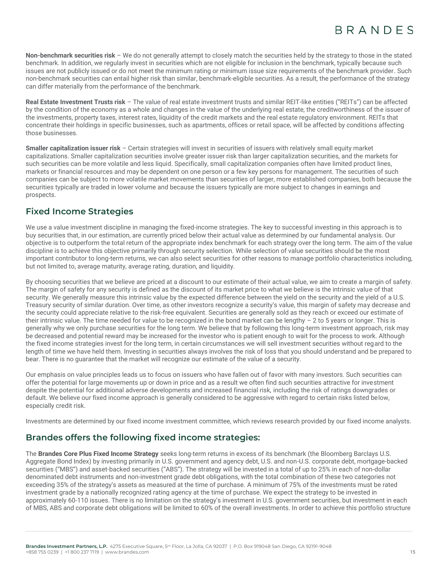**Non-benchmark securities risk** – We do not generally attempt to closely match the securities held by the strategy to those in the stated benchmark. In addition, we regularly invest in securities which are not eligible for inclusion in the benchmark, typically because such issues are not publicly issued or do not meet the minimum rating or minimum issue size requirements of the benchmark provider. Such non-benchmark securities can entail higher risk than similar, benchmark-eligible securities. As a result, the performance of the strategy can differ materially from the performance of the benchmark.

**Real Estate Investment Trusts risk** – The value of real estate investment trusts and similar REIT-like entities ("REITs") can be affected by the condition of the economy as a whole and changes in the value of the underlying real estate, the creditworthiness of the issuer of the investments, property taxes, interest rates, liquidity of the credit markets and the real estate regulatory environment. REITs that concentrate their holdings in specific businesses, such as apartments, offices or retail space, will be affected by conditions affecting those businesses.

**Smaller capitalization issuer risk** – Certain strategies will invest in securities of issuers with relatively small equity market capitalizations. Smaller capitalization securities involve greater issuer risk than larger capitalization securities, and the markets for such securities can be more volatile and less liquid. Specifically, small capitalization companies often have limited product lines, markets or financial resources and may be dependent on one person or a few key persons for management. The securities of such companies can be subject to more volatile market movements than securities of larger, more established companies, both because the securities typically are traded in lower volume and because the issuers typically are more subject to changes in earnings and prospects.

# **Fixed Income Strategies**

We use a value investment discipline in managing the fixed-income strategies. The key to successful investing in this approach is to buy securities that, in our estimation, are currently priced below their actual value as determined by our fundamental analysis. Our objective is to outperform the total return of the appropriate index benchmark for each strategy over the long term. The aim of the value discipline is to achieve this objective primarily through security selection. While selection of value securities should be the most important contributor to long-term returns, we can also select securities for other reasons to manage portfolio characteristics including, but not limited to, average maturity, average rating, duration, and liquidity.

By choosing securities that we believe are priced at a discount to our estimate of their actual value, we aim to create a margin of safety. The margin of safety for any security is defined as the discount of its market price to what we believe is the intrinsic value of that security. We generally measure this intrinsic value by the expected difference between the yield on the security and the yield of a U.S. Treasury security of similar duration. Over time, as other investors recognize a security's value, this margin of safety may decrease and the security could appreciate relative to the risk-free equivalent. Securities are generally sold as they reach or exceed our estimate of their intrinsic value. The time needed for value to be recognized in the bond market can be lengthy - 2 to 5 years or longer. This is generally why we only purchase securities for the long term. We believe that by following this long-term investment approach, risk may be decreased and potential reward may be increased for the investor who is patient enough to wait for the process to work. Although the fixed income strategies invest for the long term, in certain circumstances we will sell investment securities without regard to the length of time we have held them. Investing in securities always involves the risk of loss that you should understand and be prepared to bear. There is no guarantee that the market will recognize our estimate of the value of a security.

Our emphasis on value principles leads us to focus on issuers who have fallen out of favor with many investors. Such securities can offer the potential for large movements up or down in price and as a result we often find such securities attractive for investment despite the potential for additional adverse developments and increased financial risk, including the risk of ratings downgrades or default. We believe our fixed income approach is generally considered to be aggressive with regard to certain risks listed below, especially credit risk.

Investments are determined by our fixed income investment committee, which reviews research provided by our fixed income analysts.

# **Brandes offers the following fixed income strategies:**

The **Brandes Core Plus Fixed Income Strategy** seeks long-term returns in excess of its benchmark (the Bloomberg Barclays U.S. Aggregate Bond Index) by investing primarily in U.S. government and agency debt, U.S. and non-U.S. corporate debt, mortgage-backed securities ("MBS") and asset-backed securities ("ABS"). The strategy will be invested in a total of up to 25% in each of non-dollar denominated debt instruments and non-investment grade debt obligations, with the total combination of these two categories not exceeding 35% of the strategy's assets as measured at the time of purchase. A minimum of 75% of the investments must be rated investment grade by a nationally recognized rating agency at the time of purchase. We expect the strategy to be invested in approximately 60-110 issues. There is no limitation on the strategy's investment in U.S. government securities, but investment in each of MBS, ABS and corporate debt obligations will be limited to 60% of the overall investments. In order to achieve this portfolio structure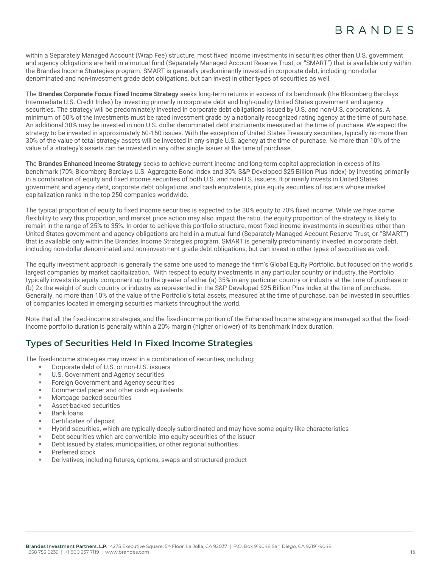within a Separately Managed Account (Wrap Fee) structure, most fixed income investments in securities other than U.S. government and agency obligations are held in a mutual fund (Separately Managed Account Reserve Trust, or "SMART") that is available only within the Brandes Income Strategies program. SMART is generally predominantly invested in corporate debt, including non-dollar denominated and non-investment grade debt obligations, but can invest in other types of securities as well.

The **Brandes Corporate Focus Fixed Income Strategy** seeks long-term returns in excess of its benchmark (the Bloomberg Barclays Intermediate U.S. Credit Index) by investing primarily in corporate debt and high-quality United States government and agency securities. The strategy will be predominately invested in corporate debt obligations issued by U.S. and non-U.S. corporations. A minimum of 50% of the investments must be rated investment grade by a nationally recognized rating agency at the time of purchase. An additional 30% may be invested in non U.S. dollar denominated debt instruments measured at the time of purchase. We expect the strategy to be invested in approximately 60-150 issues. With the exception of United States Treasury securities, typically no more than 30% of the value of total strategy assets will be invested in any single U.S. agency at the time of purchase. No more than 10% of the value of a strategy's assets can be invested in any other single issuer at the time of purchase.

The **Brandes Enhanced Income Strategy** seeks to achieve current income and long-term capital appreciation in excess of its benchmark (70% Bloomberg Barclays U.S. Aggregate Bond Index and 30% S&P Developed \$25 Billion Plus Index) by investing primarily in a combination of equity and fixed income securities of both U.S. and non-U.S. issuers. It primarily invests in United States government and agency debt, corporate debt obligations, and cash equivalents, plus equity securities of issuers whose market capitalization ranks in the top 250 companies worldwide.

The typical proportion of equity to fixed income securities is expected to be 30% equity to 70% fixed income. While we have some flexibility to vary this proportion, and market price action may also impact the ratio, the equity proportion of the strategy is likely to remain in the range of 25% to 35%. In order to achieve this portfolio structure, most fixed income investments in securities other than United States government and agency obligations are held in a mutual fund (Separately Managed Account Reserve Trust, or "SMART") that is available only within the Brandes Income Strategies program. SMART is generally predominantly invested in corporate debt, including non-dollar denominated and non-investment grade debt obligations, but can invest in other types of securities as well.

The equity investment approach is generally the same one used to manage the firm's Global Equity Portfolio, but focused on the world's largest companies by market capitalization. With respect to equity investments in any particular country or industry, the Portfolio typically invests its equity component up to the greater of either (a) 35% in any particular country or industry at the time of purchase or (b) 2x the weight of such country or industry as represented in the S&P Developed \$25 Billion Plus Index at the time of purchase. Generally, no more than 10% of the value of the Portfolio's total assets, measured at the time of purchase, can be invested in securities of companies located in emerging securities markets throughout the world.

Note that all the fixed-income strategies, and the fixed-income portion of the Enhanced Income strategy are managed so that the fixedincome portfolio duration is generally within a 20% margin (higher or lower) of its benchmark index duration.

# **Types of Securities Held In Fixed Income Strategies**

The fixed-income strategies may invest in a combination of securities, including:

- Corporate debt of U.S. or non-U.S. issuers
- U.S. Government and Agency securities
- **EXECTE:** Foreign Government and Agency securities
- Commercial paper and other cash equivalents
- Mortgage-backed securities
- Asset-backed securities
- **Bank loans**
- Certificates of deposit
- Hybrid securities, which are typically deeply subordinated and may have some equity-like characteristics
- Debt securities which are convertible into equity securities of the issuer
- Debt issued by states, municipalities, or other regional authorities
- Preferred stock
- Derivatives, including futures, options, swaps and structured product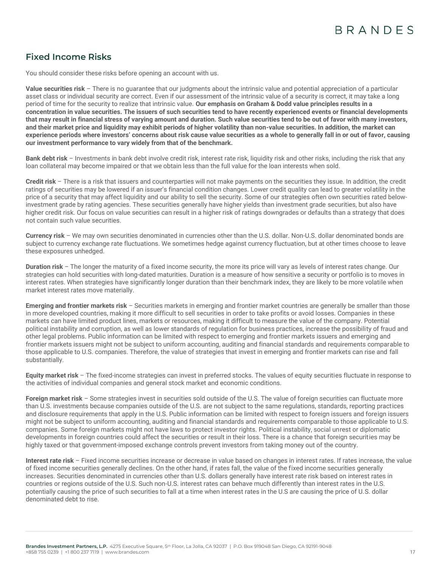# **Fixed Income Risks**

You should consider these risks before opening an account with us.

**Value securities risk** – There is no guarantee that our judgments about the intrinsic value and potential appreciation of a particular asset class or individual security are correct. Even if our assessment of the intrinsic value of a security is correct, it may take a long period of time for the security to realize that intrinsic value. **Our emphasis on Graham & Dodd value principles results in a concentration in value securities. The issuers of such securities tend to have recently experienced events or financial developments that may result in financial stress of varying amount and duration. Such value securities tend to be out of favor with many investors, and their market price and liquidity may exhibit periods of higher volatility than non-value securities. In addition, the market can experience periods where investors' concerns about risk cause value securities as a whole to generally fall in or out of favor, causing our investment performance to vary widely from that of the benchmark.** 

**Bank debt risk** – Investments in bank debt involve credit risk, interest rate risk, liquidity risk and other risks, including the risk that any loan collateral may become impaired or that we obtain less than the full value for the loan interests when sold.

**Credit risk** – There is a risk that issuers and counterparties will not make payments on the securities they issue. In addition, the credit ratings of securities may be lowered if an issuer's financial condition changes. Lower credit quality can lead to greater volatility in the price of a security that may affect liquidity and our ability to sell the security. Some of our strategies often own securities rated belowinvestment grade by rating agencies. These securities generally have higher yields than investment grade securities, but also have higher credit risk. Our focus on value securities can result in a higher risk of ratings downgrades or defaults than a strategy that does not contain such value securities.

**Currency risk** – We may own securities denominated in currencies other than the U.S. dollar. Non-U.S. dollar denominated bonds are subject to currency exchange rate fluctuations. We sometimes hedge against currency fluctuation, but at other times choose to leave these exposures unhedged.

**Duration risk** *–* The longer the maturity of a fixed income security, the more its price will vary as levels of interest rates change. Our strategies can hold securities with long-dated maturities. Duration is a measure of how sensitive a security or portfolio is to moves in interest rates. When strategies have significantly longer duration than their benchmark index, they are likely to be more volatile when market interest rates move materially.

**Emerging and frontier markets risk** – Securities markets in emerging and frontier market countries are generally be smaller than those in more developed countries, making it more difficult to sell securities in order to take profits or avoid losses. Companies in these markets can have limited product lines, markets or resources, making it difficult to measure the value of the company. Potential political instability and corruption, as well as lower standards of regulation for business practices, increase the possibility of fraud and other legal problems. Public information can be limited with respect to emerging and frontier markets issuers and emerging and frontier markets issuers might not be subject to uniform accounting, auditing and financial standards and requirements comparable to those applicable to U.S. companies. Therefore, the value of strategies that invest in emerging and frontier markets can rise and fall substantially.

**Equity market risk** – The fixed-income strategies can invest in preferred stocks. The values of equity securities fluctuate in response to the activities of individual companies and general stock market and economic conditions.

**Foreign market risk** – Some strategies invest in securities sold outside of the U.S. The value of foreign securities can fluctuate more than U.S. investments because companies outside of the U.S. are not subject to the same regulations, standards, reporting practices and disclosure requirements that apply in the U.S. Public information can be limited with respect to foreign issuers and foreign issuers might not be subject to uniform accounting, auditing and financial standards and requirements comparable to those applicable to U.S. companies. Some foreign markets might not have laws to protect investor rights. Political instability, social unrest or diplomatic developments in foreign countries could affect the securities or result in their loss. There is a chance that foreign securities may be highly taxed or that government-imposed exchange controls prevent investors from taking money out of the country.

**Interest rate risk** – Fixed income securities increase or decrease in value based on changes in interest rates. If rates increase, the value of fixed income securities generally declines. On the other hand, if rates fall, the value of the fixed income securities generally increases. Securities denominated in currencies other than U.S. dollars generally have interest rate risk based on interest rates in countries or regions outside of the U.S. Such non-U.S. interest rates can behave much differently than interest rates in the U.S. potentially causing the price of such securities to fall at a time when interest rates in the U.S are causing the price of U.S. dollar denominated debt to rise.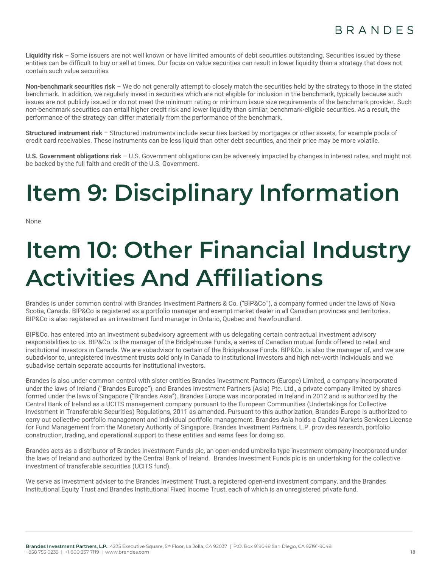Liquidity risk – Some issuers are not well known or have limited amounts of debt securities outstanding. Securities issued by these entities can be difficult to buy or sell at times. Our focus on value securities can result in lower liquidity than a strategy that does not contain such value securities

**Non-benchmark securities risk** – We do not generally attempt to closely match the securities held by the strategy to those in the stated benchmark. In addition, we regularly invest in securities which are not eligible for inclusion in the benchmark, typically because such issues are not publicly issued or do not meet the minimum rating or minimum issue size requirements of the benchmark provider. Such non-benchmark securities can entail higher credit risk and lower liquidity than similar, benchmark-eligible securities. As a result, the performance of the strategy can differ materially from the performance of the benchmark.

**Structured instrument risk** – Structured instruments include securities backed by mortgages or other assets, for example pools of credit card receivables. These instruments can be less liquid than other debt securities, and their price may be more volatile.

**U.S. Government obligations risk** – U.S. Government obligations can be adversely impacted by changes in interest rates, and might not be backed by the full faith and credit of the U.S. Government.

# <span id="page-17-0"></span>**Item 9: Disciplinary Information**

<span id="page-17-1"></span>None

# **Item 10: Other Financial Industry Activities And Affiliations**

Brandes is under common control with Brandes Investment Partners & Co. ("BIP&Co"), a company formed under the laws of Nova Scotia, Canada. BIP&Co is registered as a portfolio manager and exempt market dealer in all Canadian provinces and territories. BIP&Co is also registered as an investment fund manager in Ontario, Quebec and Newfoundland.

BIP&Co. has entered into an investment subadvisory agreement with us delegating certain contractual investment advisory responsibilities to us. BIP&Co. is the manager of the Bridgehouse Funds, a series of Canadian mutual funds offered to retail and institutional investors in Canada. We are subadvisor to certain of the Bridgehouse Funds. BIP&Co. is also the manager of, and we are subadvisor to, unregistered investment trusts sold only in Canada to institutional investors and high net-worth individuals and we subadvise certain separate accounts for institutional investors.

Brandes is also under common control with sister entities Brandes Investment Partners (Europe) Limited, a company incorporated under the laws of Ireland ("Brandes Europe"), and Brandes Investment Partners (Asia) Pte. Ltd., a private company limited by shares formed under the laws of Singapore ("Brandes Asia"). Brandes Europe was incorporated in Ireland in 2012 and is authorized by the Central Bank of Ireland as a UCITS management company pursuant to the European Communities (Undertakings for Collective Investment in Transferable Securities) Regulations, 2011 as amended. Pursuant to this authorization, Brandes Europe is authorized to carry out collective portfolio management and individual portfolio management. Brandes Asia holds a Capital Markets Services License for Fund Management from the Monetary Authority of Singapore. Brandes Investment Partners, L.P. provides research, portfolio construction, trading, and operational support to these entities and earns fees for doing so.

Brandes acts as a distributor of Brandes Investment Funds plc, an open-ended umbrella type investment company incorporated under the laws of Ireland and authorized by the Central Bank of Ireland. Brandes Investment Funds plc is an undertaking for the collective investment of transferable securities (UCITS fund).

We serve as investment adviser to the Brandes Investment Trust, a registered open-end investment company, and the Brandes Institutional Equity Trust and Brandes Institutional Fixed Income Trust, each of which is an unregistered private fund.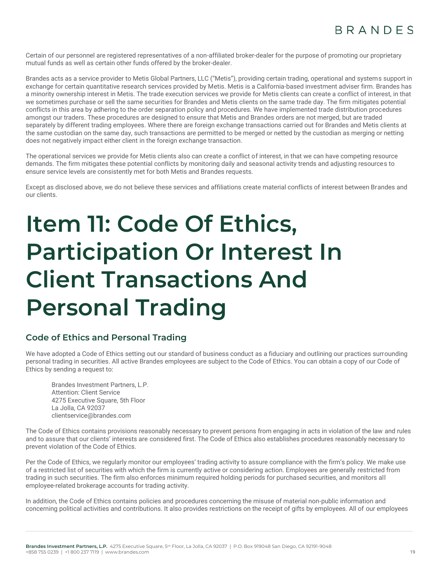Certain of our personnel are registered representatives of a non-affiliated broker-dealer for the purpose of promoting our proprietary mutual funds as well as certain other funds offered by the broker-dealer.

Brandes acts as a service provider to Metis Global Partners, LLC ("Metis"), providing certain trading, operational and systems support in exchange for certain quantitative research services provided by Metis. Metis is a California-based investment adviser firm. Brandes has a minority ownership interest in Metis. The trade execution services we provide for Metis clients can create a conflict of interest, in that we sometimes purchase or sell the same securities for Brandes and Metis clients on the same trade day. The firm mitigates potential conflicts in this area by adhering to the order separation policy and procedures. We have implemented trade distribution procedures amongst our traders. These procedures are designed to ensure that Metis and Brandes orders are not merged, but are traded separately by different trading employees. Where there are foreign exchange transactions carried out for Brandes and Metis clients at the same custodian on the same day, such transactions are permitted to be merged or netted by the custodian as merging or netting does not negatively impact either client in the foreign exchange transaction.

The operational services we provide for Metis clients also can create a conflict of interest, in that we can have competing resource demands. The firm mitigates these potential conflicts by monitoring daily and seasonal activity trends and adjusting resources to ensure service levels are consistently met for both Metis and Brandes requests.

Except as disclosed above, we do not believe these services and affiliations create material conflicts of interest between Brandes and our clients.

# <span id="page-18-0"></span>**Item 11: Code Of Ethics, Participation Or Interest In Client Transactions And Personal Trading**

# **Code of Ethics and Personal Trading**

We have adopted a Code of Ethics setting out our standard of business conduct as a fiduciary and outlining our practices surrounding personal trading in securities. All active Brandes employees are subject to the Code of Ethics. You can obtain a copy of our Code of Ethics by sending a request to:

Brandes Investment Partners, L.P. Attention: Client Service 4275 Executive Square, 5th Floor La Jolla, CA 92037 [clientservice@brandes.com](mailto:clientservice@brandes.com)

The Code of Ethics contains provisions reasonably necessary to prevent persons from engaging in acts in violation of the law and rules and to assure that our clients' interests are considered first. The Code of Ethics also establishes procedures reasonably necessary to prevent violation of the Code of Ethics.

Per the Code of Ethics, we regularly monitor our employees' trading activity to assure compliance with the firm's policy. We make use of a restricted list of securities with which the firm is currently active or considering action. Employees are generally restricted from trading in such securities. The firm also enforces minimum required holding periods for purchased securities, and monitors all employee-related brokerage accounts for trading activity.

In addition, the Code of Ethics contains policies and procedures concerning the misuse of material non-public information and concerning political activities and contributions. It also provides restrictions on the receipt of gifts by employees. All of our employees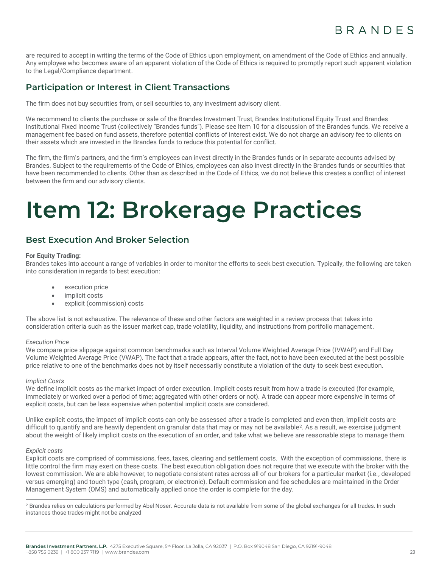are required to accept in writing the terms of the Code of Ethics upon employment, on amendment of the Code of Ethics and annually. Any employee who becomes aware of an apparent violation of the Code of Ethics is required to promptly report such apparent violation to the Legal/Compliance department.

# **Participation or Interest in Client Transactions**

The firm does not buy securities from, or sell securities to, any investment advisory client.

We recommend to clients the purchase or sale of the Brandes Investment Trust, Brandes Institutional Equity Trust and Brandes Institutional Fixed Income Trust (collectively "Brandes funds"). Please see Item 10 for a discussion of the Brandes funds. We receive a management fee based on fund assets, therefore potential conflicts of interest exist. We do not charge an advisory fee to clients on their assets which are invested in the Brandes funds to reduce this potential for conflict.

The firm, the firm's partners, and the firm's employees can invest directly in the Brandes funds or in separate accounts advised by Brandes. Subject to the requirements of the Code of Ethics, employees can also invest directly in the Brandes funds or securities that have been recommended to clients. Other than as described in the Code of Ethics, we do not believe this creates a conflict of interest between the firm and our advisory clients.

# <span id="page-19-0"></span>**Item 12: Brokerage Practices**

# **Best Execution And Broker Selection**

#### **For Equity Trading:**

Brandes takes into account a range of variables in order to monitor the efforts to seek best execution. Typically, the following are taken into consideration in regards to best execution:

- execution price
- implicit costs
- explicit (commission) costs

The above list is not exhaustive. The relevance of these and other factors are weighted in a review process that takes into consideration criteria such as the issuer market cap, trade volatility, liquidity, and instructions from portfolio management.

#### *Execution Price*

We compare price slippage against common benchmarks such as Interval Volume Weighted Average Price (IVWAP) and Full Day Volume Weighted Average Price (VWAP). The fact that a trade appears, after the fact, not to have been executed at the best possible price relative to one of the benchmarks does not by itself necessarily constitute a violation of the duty to seek best execution.

#### *Implicit Costs*

We define implicit costs as the market impact of order execution. Implicit costs result from how a trade is executed (for example, immediately or worked over a period of time; aggregated with other orders or not). A trade can appear more expensive in terms of explicit costs, but can be less expensive when potential implicit costs are considered.

Unlike explicit costs, the impact of implicit costs can only be assessed after a trade is completed and even then, implicit costs are difficult to quantify and are heavily dependent on granular data that may or may not be available<sup>2</sup>. As a result, we exercise judgment about the weight of likely implicit costs on the execution of an order, and take what we believe are reasonable steps to manage them.

#### *Explicit costs*

Explicit costs are comprised of commissions, fees, taxes, clearing and settlement costs. With the exception of commissions, there is little control the firm may exert on these costs. The best execution obligation does not require that we execute with the broker with the lowest commission. We are able however, to negotiate consistent rates across all of our brokers for a particular market (i.e., developed versus emerging) and touch type (cash, program, or electronic). Default commission and fee schedules are maintained in the Order Management System (OMS) and automatically applied once the order is complete for the day.

<sup>&</sup>lt;sup>2</sup> Brandes relies on calculations performed by Abel Noser. Accurate data is not available from some of the global exchanges for all trades. In such instances those trades might not be analyzed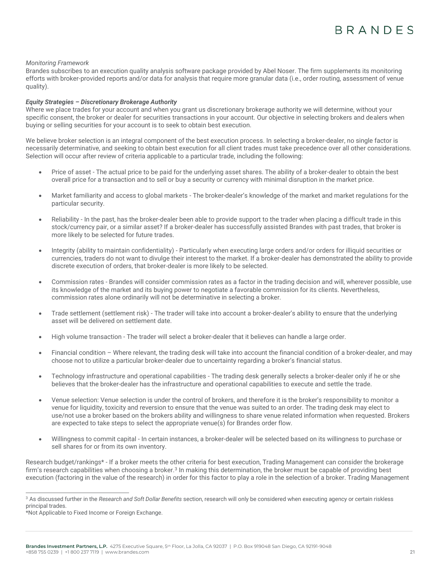#### *Monitoring Framework*

Brandes subscribes to an execution quality analysis software package provided by Abel Noser. The firm supplements its monitoring efforts with broker-provided reports and/or data for analysis that require more granular data (i.e., order routing, assessment of venue quality).

#### *Equity Strategies – Discretionary Brokerage Authority*

Where we place trades for your account and when you grant us discretionary brokerage authority we will determine, without your specific consent, the broker or dealer for securities transactions in your account. Our objective in selecting brokers and dealers when buying or selling securities for your account is to seek to obtain best execution.

We believe broker selection is an integral component of the best execution process. In selecting a broker-dealer, no single factor is necessarily determinative, and seeking to obtain best execution for all client trades must take precedence over all other considerations. Selection will occur after review of criteria applicable to a particular trade, including the following:

- Price of asset The actual price to be paid for the underlying asset shares. The ability of a broker-dealer to obtain the best overall price for a transaction and to sell or buy a security or currency with minimal disruption in the market price.
- Market familiarity and access to global markets The broker-dealer's knowledge of the market and market regulations for the particular security.
- Reliability In the past, has the broker-dealer been able to provide support to the trader when placing a difficult trade in this stock/currency pair, or a similar asset? If a broker-dealer has successfully assisted Brandes with past trades, that broker is more likely to be selected for future trades.
- Integrity (ability to maintain confidentiality) Particularly when executing large orders and/or orders for illiquid securities or currencies, traders do not want to divulge their interest to the market. If a broker-dealer has demonstrated the ability to provide discrete execution of orders, that broker-dealer is more likely to be selected.
- Commission rates Brandes will consider commission rates as a factor in the trading decision and will, wherever possible, use its knowledge of the market and its buying power to negotiate a favorable commission for its clients. Nevertheless, commission rates alone ordinarily will not be determinative in selecting a broker.
- Trade settlement (settlement risk) The trader will take into account a broker-dealer's ability to ensure that the underlying asset will be delivered on settlement date.
- High volume transaction The trader will select a broker-dealer that it believes can handle a large order.
- Financial condition Where relevant, the trading desk will take into account the financial condition of a broker-dealer, and may choose not to utilize a particular broker-dealer due to uncertainty regarding a broker's financial status.
- Technology infrastructure and operational capabilities The trading desk generally selects a broker-dealer only if he or she believes that the broker-dealer has the infrastructure and operational capabilities to execute and settle the trade.
- Venue selection: Venue selection is under the control of brokers, and therefore it is the broker's responsibility to monitor a venue for liquidity, toxicity and reversion to ensure that the venue was suited to an order. The trading desk may elect to use/not use a broker based on the brokers ability and willingness to share venue related information when requested. Brokers are expected to take steps to select the appropriate venue(s) for Brandes order flow.
- Willingness to commit capital In certain instances, a broker-dealer will be selected based on its willingness to purchase or sell shares for or from its own inventory.

Research budget/rankings\* - If a broker meets the other criteria for best execution, Trading Management can consider the brokerage firm's research capabilities when choosing a broker.<sup>3</sup> In making this determination, the broker must be capable of providing best execution (factoring in the value of the research) in order for this factor to play a role in the selection of a broker. Trading Management

<sup>3</sup> As discussed further in the *Research and Soft Dollar Benefits* section, research will only be considered when executing agency or certain riskless principal trades.

<sup>.&</sup>lt;br>\*Not Applicable to Fixed Income or Foreign Exchange.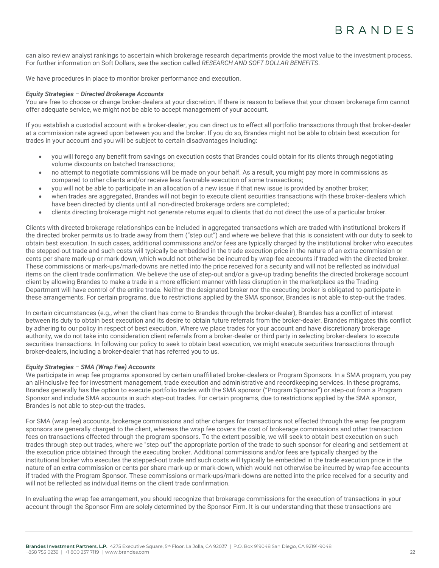can also review analyst rankings to ascertain which brokerage research departments provide the most value to the investment process. For further information on Soft Dollars, see the section called *RESEARCH AND SOFT DOLLAR BENEFITS*.

We have procedures in place to monitor broker performance and execution.

#### *Equity Strategies – Directed Brokerage Accounts*

You are free to choose or change broker-dealers at your discretion. If there is reason to believe that your chosen brokerage firm cannot offer adequate service, we might not be able to accept management of your account.

If you establish a custodial account with a broker-dealer, you can direct us to effect all portfolio transactions through that broker-dealer at a commission rate agreed upon between you and the broker. If you do so, Brandes might not be able to obtain best execution for trades in your account and you will be subject to certain disadvantages including:

- you will forego any benefit from savings on execution costs that Brandes could obtain for its clients through negotiating volume discounts on batched transactions;
- no attempt to negotiate commissions will be made on your behalf. As a result, you might pay more in commissions as compared to other clients and/or receive less favorable execution of some transactions;
- you will not be able to participate in an allocation of a new issue if that new issue is provided by another broker;
- when trades are aggregated, Brandes will not begin to execute client securities transactions with these broker-dealers which have been directed by clients until all non-directed brokerage orders are completed;
- clients directing brokerage might not generate returns equal to clients that do not direct the use of a particular broker.

Clients with directed brokerage relationships can be included in aggregated transactions which are traded with institutional brokers if the directed broker permits us to trade away from them ("step out") and where we believe that this is consistent with our duty to seek to obtain best execution. In such cases, additional commissions and/or fees are typically charged by the institutional broker who executes the stepped-out trade and such costs will typically be embedded in the trade execution price in the nature of an extra commission or cents per share mark-up or mark-down, which would not otherwise be incurred by wrap-fee accounts if traded with the directed broker. These commissions or mark-ups/mark-downs are netted into the price received for a security and will not be reflected as individual items on the client trade confirmation. We believe the use of step-out and/or a give-up trading benefits the directed brokerage account client by allowing Brandes to make a trade in a more efficient manner with less disruption in the marketplace as the Trading Department will have control of the entire trade. Neither the designated broker nor the executing broker is obligated to participate in these arrangements. For certain programs, due to restrictions applied by the SMA sponsor, Brandes is not able to step-out the trades.

In certain circumstances (e.g., when the client has come to Brandes through the broker-dealer), Brandes has a conflict of interest between its duty to obtain best execution and its desire to obtain future referrals from the broker-dealer. Brandes mitigates this conflict by adhering to our policy in respect of best execution. Where we place trades for your account and have discretionary brokerage authority, we do not take into consideration client referrals from a broker-dealer or third party in selecting broker-dealers to execute securities transactions. In following our policy to seek to obtain best execution, we might execute securities transactions through broker-dealers, including a broker-dealer that has referred you to us.

#### *Equity Strategies – SMA (Wrap Fee) Accounts*

We participate in wrap fee programs sponsored by certain unaffiliated broker-dealers or Program Sponsors. In a SMA program, you pay an all-inclusive fee for investment management, trade execution and administrative and recordkeeping services. In these programs, Brandes generally has the option to execute portfolio trades with the SMA sponsor ("Program Sponsor") or step-out from a Program Sponsor and include SMA accounts in such step-out trades. For certain programs, due to restrictions applied by the SMA sponsor, Brandes is not able to step-out the trades.

For SMA (wrap fee) accounts, brokerage commissions and other charges for transactions not effected through the wrap fee program sponsors are generally charged to the client, whereas the wrap fee covers the cost of brokerage commissions and other transaction fees on transactions effected through the program sponsors. To the extent possible, we will seek to obtain best execution on such trades through step out trades, where we "step out" the appropriate portion of the trade to such sponsor for clearing and settlement at the execution price obtained through the executing broker. Additional commissions and/or fees are typically charged by the institutional broker who executes the stepped-out trade and such costs will typically be embedded in the trade execution price in the nature of an extra commission or cents per share mark-up or mark-down, which would not otherwise be incurred by wrap-fee accounts if traded with the Program Sponsor. These commissions or mark-ups/mark-downs are netted into the price received for a security and will not be reflected as individual items on the client trade confirmation.

In evaluating the wrap fee arrangement, you should recognize that brokerage commissions for the execution of transactions in your account through the Sponsor Firm are solely determined by the Sponsor Firm. It is our understanding that these transactions are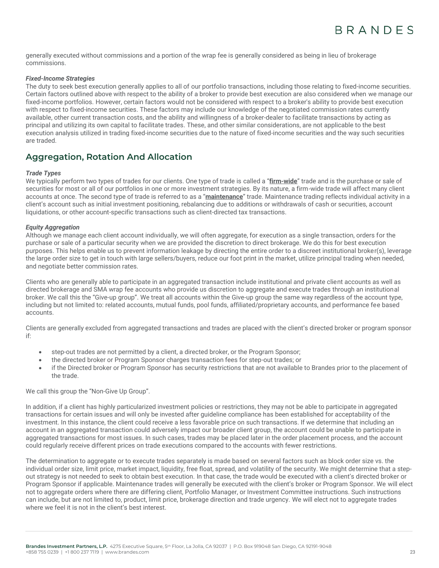generally executed without commissions and a portion of the wrap fee is generally considered as being in lieu of brokerage commissions.

#### *Fixed-Income Strategies*

The duty to seek best execution generally applies to all of our portfolio transactions, including those relating to fixed-income securities. Certain factors outlined above with respect to the ability of a broker to provide best execution are also considered when we manage our fixed-income portfolios. However, certain factors would not be considered with respect to a broker's ability to provide best execution with respect to fixed-income securities. These factors may include our knowledge of the negotiated commission rates currently available, other current transaction costs, and the ability and willingness of a broker-dealer to facilitate transactions by acting as principal and utilizing its own capital to facilitate trades. These, and other similar considerations, are not applicable to the best execution analysis utilized in trading fixed-income securities due to the nature of fixed-income securities and the way such securities are traded.

### **Aggregation, Rotation And Allocation**

#### *Trade Types*

We typically perform two types of trades for our clients. One type of trade is called a "**firm-wide**" trade and is the purchase or sale of securities for most or all of our portfolios in one or more investment strategies. By its nature, a firm-wide trade will affect many client accounts at once. The second type of trade is referred to as a "**maintenance**" trade. Maintenance trading reflects individual activity in a client's account such as initial investment positioning, rebalancing due to additions or withdrawals of cash or securities, account liquidations, or other account-specific transactions such as client-directed tax transactions.

#### *Equity Aggregation*

Although we manage each client account individually, we will often aggregate, for execution as a single transaction, orders for the purchase or sale of a particular security when we are provided the discretion to direct brokerage. We do this for best execution purposes. This helps enable us to prevent information leakage by directing the entire order to a discreet institutional broker(s), leverage the large order size to get in touch with large sellers/buyers, reduce our foot print in the market, utilize principal trading when needed, and negotiate better commission rates.

Clients who are generally able to participate in an aggregated transaction include institutional and private client accounts as well as directed brokerage and SMA wrap fee accounts who provide us discretion to aggregate and execute trades through an institutional broker. We call this the "Give-up group". We treat all accounts within the Give-up group the same way regardless of the account type, including but not limited to: related accounts, mutual funds, pool funds, affiliated/proprietary accounts, and performance fee based accounts.

Clients are generally excluded from aggregated transactions and trades are placed with the client's directed broker or program sponsor if:

- step-out trades are not permitted by a client, a directed broker, or the Program Sponsor;
- the directed broker or Program Sponsor charges transaction fees for step-out trades; or
- if the Directed broker or Program Sponsor has security restrictions that are not available to Brandes prior to the placement of the trade.

We call this group the "Non-Give Up Group".

In addition, if a client has highly particularized investment policies or restrictions, they may not be able to participate in aggregated transactions for certain issues and will only be invested after guideline compliance has been established for acceptability of the investment. In this instance, the client could receive a less favorable price on such transactions. If we determine that including an account in an aggregated transaction could adversely impact our broader client group, the account could be unable to participate in aggregated transactions for most issues. In such cases, trades may be placed later in the order placement process, and the account could regularly receive different prices on trade executions compared to the accounts with fewer restrictions.

The determination to aggregate or to execute trades separately is made based on several factors such as block order size vs. the individual order size, limit price, market impact, liquidity, free float, spread, and volatility of the security. We might determine that a stepout strategy is not needed to seek to obtain best execution. In that case, the trade would be executed with a client's directed broker or Program Sponsor if applicable. Maintenance trades will generally be executed with the client's broker or Program Sponsor. We will elect not to aggregate orders where there are differing client, Portfolio Manager, or Investment Committee instructions. Such instructions can include, but are not limited to, product, limit price, brokerage direction and trade urgency. We will elect not to aggregate trades where we feel it is not in the client's best interest.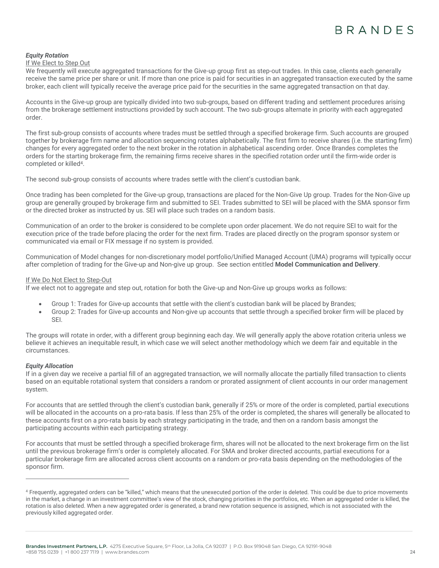#### *Equity Rotation*

#### If We Elect to Step Out

We frequently will execute aggregated transactions for the Give-up group first as step-out trades. In this case, clients each generally receive the same price per share or unit. If more than one price is paid for securities in an aggregated transaction executed by the same broker, each client will typically receive the average price paid for the securities in the same aggregated transaction on that day.

Accounts in the Give-up group are typically divided into two sub-groups, based on different trading and settlement procedures arising from the brokerage settlement instructions provided by such account. The two sub-groups alternate in priority with each aggregated order.

The first sub-group consists of accounts where trades must be settled through a specified brokerage firm. Such accounts are grouped together by brokerage firm name and allocation sequencing rotates alphabetically. The first firm to receive shares (i.e. the starting firm) changes for every aggregated order to the next broker in the rotation in alphabetical ascending order. Once Brandes completes the orders for the starting brokerage firm, the remaining firms receive shares in the specified rotation order until the firm-wide order is completed or killed<sup>4</sup>.

The second sub-group consists of accounts where trades settle with the client's custodian bank.

Once trading has been completed for the Give-up group, transactions are placed for the Non-Give Up group. Trades for the Non-Give up group are generally grouped by brokerage firm and submitted to SEI. Trades submitted to SEI will be placed with the SMA sponsor firm or the directed broker as instructed by us. SEI will place such trades on a random basis.

Communication of an order to the broker is considered to be complete upon order placement. We do not require SEI to wait for the execution price of the trade before placing the order for the next firm. Trades are placed directly on the program sponsor system or communicated via email or FIX message if no system is provided.

Communication of Model changes for non-discretionary model portfolio/Unified Managed Account (UMA) programs will typically occur after completion of trading for the Give-up and Non-give up group. See section entitled **Model Communication and Delivery**.

#### If We Do Not Elect to Step-Out

If we elect not to aggregate and step out, rotation for both the Give-up and Non-Give up groups works as follows:

- Group 1: Trades for Give-up accounts that settle with the client's custodian bank will be placed by Brandes;
- Group 2: Trades for Give-up accounts and Non-give up accounts that settle through a specified broker firm will be placed by SEI.

The groups will rotate in order, with a different group beginning each day. We will generally apply the above rotation criteria unless we believe it achieves an inequitable result, in which case we will select another methodology which we deem fair and equitable in the circumstances.

#### *Equity Allocation*

If in a given day we receive a partial fill of an aggregated transaction, we will normally allocate the partially filled transaction to clients based on an equitable rotational system that considers a random or prorated assignment of client accounts in our order management system.

For accounts that are settled through the client's custodian bank, generally if 25% or more of the order is completed, partial executions will be allocated in the accounts on a pro-rata basis. If less than 25% of the order is completed, the shares will generally be allocated to these accounts first on a pro-rata basis by each strategy participating in the trade, and then on a random basis amongst the participating accounts within each participating strategy.

For accounts that must be settled through a specified brokerage firm, shares will not be allocated to the next brokerage firm on the list until the previous brokerage firm's order is completely allocated. For SMA and broker directed accounts, partial executions for a particular brokerage firm are allocated across client accounts on a random or pro-rata basis depending on the methodologies of the sponsor firm.

<sup>4</sup> Frequently, aggregated orders can be "killed," which means that the unexecuted portion of the order is deleted. This could be due to price movements in the market, a change in an investment committee's view of the stock, changing priorities in the portfolios, etc. When an aggregated order is killed, the rotation is also deleted. When a new aggregated order is generated, a brand new rotation sequence is assigned, which is not associated with the previously killed aggregated order.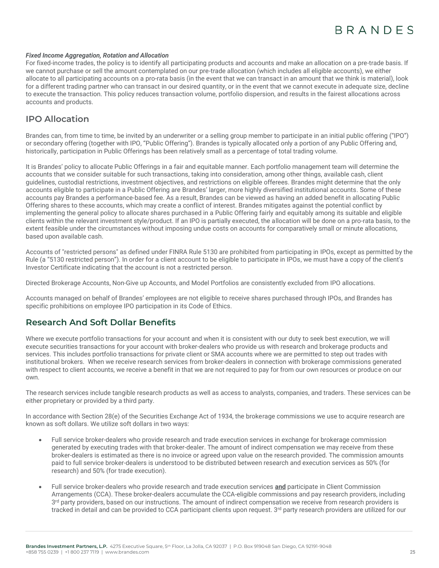#### *Fixed Income Aggregation, Rotation and Allocation*

For fixed-income trades, the policy is to identify all participating products and accounts and make an allocation on a pre-trade basis. If we cannot purchase or sell the amount contemplated on our pre-trade allocation (which includes all eligible accounts), we either allocate to all participating accounts on a pro-rata basis (in the event that we can transact in an amount that we think is material), look for a different trading partner who can transact in our desired quantity, or in the event that we cannot execute in adequate size, decline to execute the transaction. This policy reduces transaction volume, portfolio dispersion, and results in the fairest allocations across accounts and products.

### **IPO Allocation**

Brandes can, from time to time, be invited by an underwriter or a selling group member to participate in an initial public offering ("IPO") or secondary offering (together with IPO, "Public Offering"). Brandes is typically allocated only a portion of any Public Offering and, historically, participation in Public Offerings has been relatively small as a percentage of total trading volume.

It is Brandes' policy to allocate Public Offerings in a fair and equitable manner. Each portfolio management team will determine the accounts that we consider suitable for such transactions, taking into consideration, among other things, available cash, client guidelines, custodial restrictions, investment objectives, and restrictions on eligible offerees. Brandes might determine that the only accounts eligible to participate in a Public Offering are Brandes' larger, more highly diversified institutional accounts. Some of these accounts pay Brandes a performance-based fee. As a result, Brandes can be viewed as having an added benefit in allocating Public Offering shares to these accounts, which may create a conflict of interest. Brandes mitigates against the potential conflict by implementing the general policy to allocate shares purchased in a Public Offering fairly and equitably among its suitable and eligible clients within the relevant investment style/product. If an IPO is partially executed, the allocation will be done on a pro-rata basis, to the extent feasible under the circumstances without imposing undue costs on accounts for comparatively small or minute allocations, based upon available cash.

Accounts of "restricted persons" as defined under FINRA Rule 5130 are prohibited from participating in IPOs, except as permitted by the Rule (a "5130 restricted person"). In order for a client account to be eligible to participate in IPOs, we must have a copy of the client's Investor Certificate indicating that the account is not a restricted person.

Directed Brokerage Accounts, Non-Give up Accounts, and Model Portfolios are consistently excluded from IPO allocations.

Accounts managed on behalf of Brandes' employees are not eligible to receive shares purchased through IPOs, and Brandes has specific prohibitions on employee IPO participation in its Code of Ethics.

### **Research And Soft Dollar Benefits**

Where we execute portfolio transactions for your account and when it is consistent with our duty to seek best execution, we will execute securities transactions for your account with broker-dealers who provide us with research and brokerage products and services. This includes portfolio transactions for private client or SMA accounts where we are permitted to step out trades with institutional brokers. When we receive research services from broker-dealers in connection with brokerage commissions generated with respect to client accounts, we receive a benefit in that we are not required to pay for from our own resources or produce on our own.

The research services include tangible research products as well as access to analysts, companies, and traders. These services can be either proprietary or provided by a third party.

In accordance with Section 28(e) of the Securities Exchange Act of 1934, the brokerage commissions we use to acquire research are known as soft dollars. We utilize soft dollars in two ways:

- Full service broker-dealers who provide research and trade execution services in exchange for brokerage commission generated by executing trades with that broker-dealer. The amount of indirect compensation we may receive from these broker-dealers is estimated as there is no invoice or agreed upon value on the research provided. The commission amounts paid to full service broker-dealers is understood to be distributed between research and execution services as 50% (for research) and 50% (for trade execution).
- Full service broker-dealers who provide research and trade execution services **and** participate in Client Commission Arrangements (CCA). These broker-dealers accumulate the CCA-eligible commissions and pay research providers, including  $3<sup>rd</sup>$  party providers, based on our instructions. The amount of indirect compensation we receive from research providers is tracked in detail and can be provided to CCA participant clients upon request. 3<sup>rd</sup> party research providers are utilized for our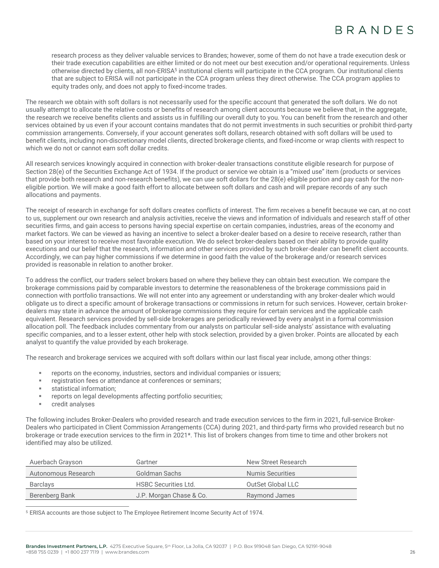research process as they deliver valuable services to Brandes; however, some of them do not have a trade execution desk or their trade execution capabilities are either limited or do not meet our best execution and/or operational requirements. Unless otherwise directed by clients, all non-ERISA<sup>5</sup> institutional clients will participate in the CCA program. Our institutional clients that are subject to ERISA will not participate in the CCA program unless they direct otherwise. The CCA program applies to equity trades only, and does not apply to fixed-income trades.

The research we obtain with soft dollars is not necessarily used for the specific account that generated the soft dollars. We do not usually attempt to allocate the relative costs or benefits of research among client accounts because we believe that, in the aggregate, the research we receive benefits clients and assists us in fulfilling our overall duty to you. You can benefit from the research and other services obtained by us even if your account contains mandates that do not permit investments in such securities or prohibit third-party commission arrangements. Conversely, if your account generates soft dollars, research obtained with soft dollars will be used to benefit clients, including non-discretionary model clients, directed brokerage clients, and fixed-income or wrap clients with respect to which we do not or cannot earn soft dollar credits.

All research services knowingly acquired in connection with broker-dealer transactions constitute eligible research for purpose of Section 28(e) of the Securities Exchange Act of 1934. If the product or service we obtain is a "mixed use" item (products or services that provide both research and non-research benefits), we can use soft dollars for the 28(e) eligible portion and pay cash for the noneligible portion. We will make a good faith effort to allocate between soft dollars and cash and will prepare records of any such allocations and payments.

The receipt of research in exchange for soft dollars creates conflicts of interest. The firm receives a benefit because we can, at no cost to us, supplement our own research and analysis activities, receive the views and information of individuals and research staff of other securities firms, and gain access to persons having special expertise on certain companies, industries, areas of the economy and market factors. We can be viewed as having an incentive to select a broker-dealer based on a desire to receive research, rather than based on your interest to receive most favorable execution. We do select broker-dealers based on their ability to provide quality executions and our belief that the research, information and other services provided by such broker-dealer can benefit client accounts. Accordingly, we can pay higher commissions if we determine in good faith the value of the brokerage and/or research services provided is reasonable in relation to another broker.

To address the conflict, our traders select brokers based on where they believe they can obtain best execution. We compare the brokerage commissions paid by comparable investors to determine the reasonableness of the brokerage commissions paid in connection with portfolio transactions. We will not enter into any agreement or understanding with any broker-dealer which would obligate us to direct a specific amount of brokerage transactions or commissions in return for such services. However, certain brokerdealers may state in advance the amount of brokerage commissions they require for certain services and the applicable cash equivalent. Research services provided by sell-side brokerages are periodically reviewed by every analyst in a formal commission allocation poll. The feedback includes commentary from our analysts on particular sell-side analysts' assistance with evaluating specific companies, and to a lesser extent, other help with stock selection, provided by a given broker. Points are allocated by each analyst to quantify the value provided by each brokerage.

The research and brokerage services we acquired with soft dollars within our last fiscal year include, among other things:

- reports on the economy, industries, sectors and individual companies or issuers;
- registration fees or attendance at conferences or seminars;
- statistical information:
- reports on legal developments affecting portfolio securities;
- credit analyses

The following includes Broker-Dealers who provided research and trade execution services to the firm in 2021, full-service Broker-Dealers who participated in Client Commission Arrangements (CCA) during 2021, and third-party firms who provided research but no brokerage or trade execution services to the firm in 2021\*. This list of brokers changes from time to time and other brokers not identified may also be utilized.

| Auerbach Grayson    | Gartner                     | New Street Research |
|---------------------|-----------------------------|---------------------|
| Autonomous Research | Goldman Sachs               | Numis Securities    |
| Barclays            | <b>HSBC Securities Ltd.</b> | OutSet Global LLC   |
| Berenberg Bank      | J.P. Morgan Chase & Co.     | Raymond James       |
|                     |                             |                     |

<sup>5</sup> ERISA accounts are those subject to The Employee Retirement Income Security Act of 1974.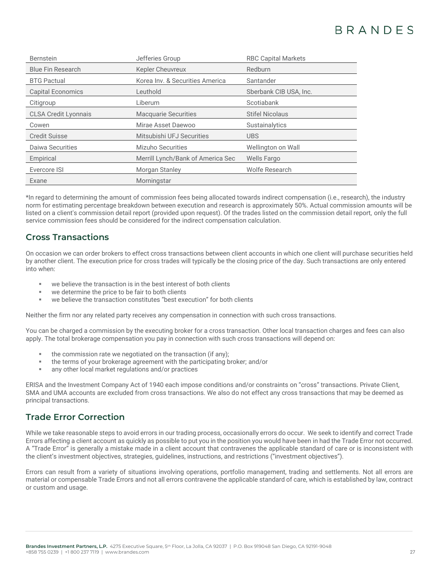| <b>Bernstein</b>            | Jefferies Group                   | <b>RBC Capital Markets</b> |
|-----------------------------|-----------------------------------|----------------------------|
| <b>Blue Fin Research</b>    | <b>Kepler Cheuvreux</b>           | Redburn                    |
| <b>BTG Pactual</b>          | Korea Inv. & Securities America   | Santander                  |
| <b>Capital Economics</b>    | Leuthold                          | Sberbank CIB USA, Inc.     |
| Citigroup                   | Liberum                           | Scotiabank                 |
| <b>CLSA Credit Lyonnais</b> | <b>Macquarie Securities</b>       | <b>Stifel Nicolaus</b>     |
| Cowen                       | Mirae Asset Daewoo                | <b>Sustainalytics</b>      |
| <b>Credit Suisse</b>        | Mitsubishi UFJ Securities         | <b>UBS</b>                 |
| Daiwa Securities            | <b>Mizuho Securities</b>          | Wellington on Wall         |
| Empirical                   | Merrill Lynch/Bank of America Sec | Wells Fargo                |
| Evercore ISI                | Morgan Stanley                    | Wolfe Research             |
| Exane                       | Morningstar                       |                            |

\*In regard to determining the amount of commission fees being allocated towards indirect compensation (i.e., research), the industry norm for estimating percentage breakdown between execution and research is approximately 50%. Actual commission amounts will be listed on a client's commission detail report (provided upon request). Of the trades listed on the commission detail report, only the full service commission fees should be considered for the indirect compensation calculation.

# **Cross Transactions**

On occasion we can order brokers to effect cross transactions between client accounts in which one client will purchase securities held by another client. The execution price for cross trades will typically be the closing price of the day. Such transactions are only entered into when:

- we believe the transaction is in the best interest of both clients
- we determine the price to be fair to both clients
- we believe the transaction constitutes "best execution" for both clients

Neither the firm nor any related party receives any compensation in connection with such cross transactions.

You can be charged a commission by the executing broker for a cross transaction. Other local transaction charges and fees can also apply. The total brokerage compensation you pay in connection with such cross transactions will depend on:

- the commission rate we negotiated on the transaction (if any);
- the terms of your brokerage agreement with the participating broker; and/or
- any other local market regulations and/or practices

ERISA and the Investment Company Act of 1940 each impose conditions and/or constraints on "cross" transactions. Private Client, SMA and UMA accounts are excluded from cross transactions. We also do not effect any cross transactions that may be deemed as principal transactions.

### **Trade Error Correction**

While we take reasonable steps to avoid errors in our trading process, occasionally errors do occur. We seek to identify and correct Trade Errors affecting a client account as quickly as possible to put you in the position you would have been in had the Trade Error not occurred. A "Trade Error" is generally a mistake made in a client account that contravenes the applicable standard of care or is inconsistent with the client's investment objectives, strategies, guidelines, instructions, and restrictions ("investment objectives").

Errors can result from a variety of situations involving operations, portfolio management, trading and settlements. Not all errors are material or compensable Trade Errors and not all errors contravene the applicable standard of care, which is established by law, contract or custom and usage.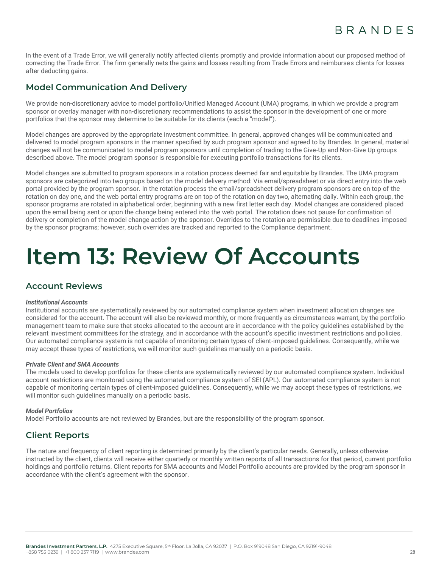In the event of a Trade Error, we will generally notify affected clients promptly and provide information about our proposed method of correcting the Trade Error. The firm generally nets the gains and losses resulting from Trade Errors and reimburses clients for losses after deducting gains.

# **Model Communication And Delivery**

We provide non-discretionary advice to model portfolio/Unified Managed Account (UMA) programs, in which we provide a program sponsor or overlay manager with non-discretionary recommendations to assist the sponsor in the development of one or more portfolios that the sponsor may determine to be suitable for its clients (each a "model").

Model changes are approved by the appropriate investment committee. In general, approved changes will be communicated and delivered to model program sponsors in the manner specified by such program sponsor and agreed to by Brandes. In general, material changes will not be communicated to model program sponsors until completion of trading to the Give-Up and Non-Give Up groups described above. The model program sponsor is responsible for executing portfolio transactions for its clients.

Model changes are submitted to program sponsors in a rotation process deemed fair and equitable by Brandes. The UMA program sponsors are categorized into two groups based on the model delivery method: Via email/spreadsheet or via direct entry into the web portal provided by the program sponsor. In the rotation process the email/spreadsheet delivery program sponsors are on top of the rotation on day one, and the web portal entry programs are on top of the rotation on day two, alternating daily. Within each group, the sponsor programs are rotated in alphabetical order, beginning with a new first letter each day. Model changes are considered placed upon the email being sent or upon the change being entered into the web portal. The rotation does not pause for confirmation of delivery or completion of the model change action by the sponsor. Overrides to the rotation are permissible due to deadlines imposed by the sponsor programs; however, such overrides are tracked and reported to the Compliance department.

# <span id="page-27-0"></span>**Item 13: Review Of Accounts**

### **Account Reviews**

#### *Institutional Accounts*

Institutional accounts are systematically reviewed by our automated compliance system when investment allocation changes are considered for the account. The account will also be reviewed monthly, or more frequently as circumstances warrant, by the portfolio management team to make sure that stocks allocated to the account are in accordance with the policy guidelines established by the relevant investment committees for the strategy, and in accordance with the account's specific investment restrictions and policies. Our automated compliance system is not capable of monitoring certain types of client-imposed guidelines. Consequently, while we may accept these types of restrictions, we will monitor such guidelines manually on a periodic basis.

#### *Private Client and SMA Accounts*

The models used to develop portfolios for these clients are systematically reviewed by our automated compliance system. Individual account restrictions are monitored using the automated compliance system of SEI (APL). Our automated compliance system is not capable of monitoring certain types of client-imposed guidelines. Consequently, while we may accept these types of restrictions, we will monitor such guidelines manually on a periodic basis.

#### *Model Portfolios*

Model Portfolio accounts are not reviewed by Brandes, but are the responsibility of the program sponsor.

### **Client Reports**

The nature and frequency of client reporting is determined primarily by the client's particular needs. Generally, unless otherwise instructed by the client, clients will receive either quarterly or monthly written reports of all transactions for that period, current portfolio holdings and portfolio returns. Client reports for SMA accounts and Model Portfolio accounts are provided by the program sponsor in accordance with the client's agreement with the sponsor.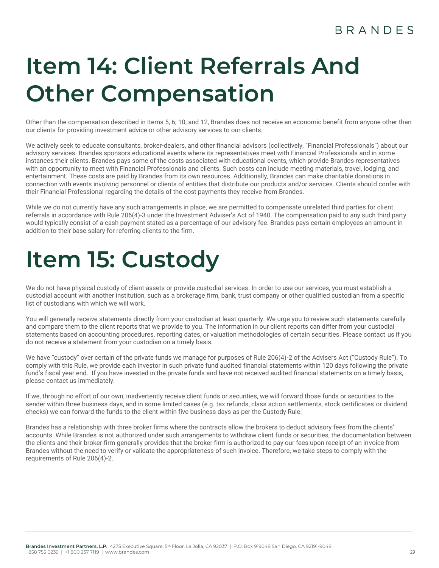# **BRANDES**

# <span id="page-28-0"></span>**Item 14: Client Referrals And Other Compensation**

Other than the compensation described in Items 5, 6, 10, and 12, Brandes does not receive an economic benefit from anyone other than our clients for providing investment advice or other advisory services to our clients.

We actively seek to educate consultants, broker-dealers, and other financial advisors (collectively, "Financial Professionals") about our advisory services. Brandes sponsors educational events where its representatives meet with Financial Professionals and in some instances their clients. Brandes pays some of the costs associated with educational events, which provide Brandes representatives with an opportunity to meet with Financial Professionals and clients. Such costs can include meeting materials, travel, lodging, and entertainment. These costs are paid by Brandes from its own resources. Additionally, Brandes can make charitable donations in connection with events involving personnel or clients of entities that distribute our products and/or services. Clients should confer with their Financial Professional regarding the details of the cost payments they receive from Brandes.

While we do not currently have any such arrangements in place, we are permitted to compensate unrelated third parties for client referrals in accordance with Rule 206(4)-3 under the Investment Adviser's Act of 1940. The compensation paid to any such third party would typically consist of a cash payment stated as a percentage of our advisory fee. Brandes pays certain employees an amount in addition to their base salary for referring clients to the firm.

# <span id="page-28-1"></span>**Item 15: Custody**

We do not have physical custody of client assets or provide custodial services. In order to use our services, you must establish a custodial account with another institution, such as a brokerage firm, bank, trust company or other qualified custodian from a specific list of custodians with which we will work.

You will generally receive statements directly from your custodian at least quarterly. We urge you to review such statements carefully and compare them to the client reports that we provide to you. The information in our client reports can differ from your custodial statements based on accounting procedures, reporting dates, or valuation methodologies of certain securities. Please contact us if you do not receive a statement from your custodian on a timely basis.

We have "custody" over certain of the private funds we manage for purposes of Rule 206(4)-2 of the Advisers Act ("Custody Rule"). To comply with this Rule, we provide each investor in such private fund audited financial statements within 120 days following the private fund's fiscal year end. If you have invested in the private funds and have not received audited financial statements on a timely basis, please contact us immediately.

If we, through no effort of our own, inadvertently receive client funds or securities, we will forward those funds or securities to the sender within three business days, and in some limited cases (e.g. tax refunds, class action settlements, stock certificates or dividend checks) we can forward the funds to the client within five business days as per the Custody Rule.

Brandes has a relationship with three broker firms where the contracts allow the brokers to deduct advisory fees from the clients' accounts. While Brandes is not authorized under such arrangements to withdraw client funds or securities, the documentation between the clients and their broker firm generally provides that the broker firm is authorized to pay our fees upon receipt of an invoice from Brandes without the need to verify or validate the appropriateness of such invoice. Therefore, we take steps to comply with the requirements of Rule 206(4)-2.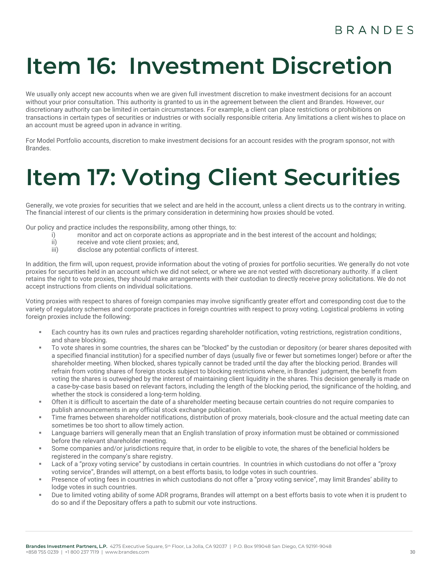# <span id="page-29-0"></span>**Item 16: Investment Discretion**

We usually only accept new accounts when we are given full investment discretion to make investment decisions for an account without your prior consultation. This authority is granted to us in the agreement between the client and Brandes. However, our discretionary authority can be limited in certain circumstances. For example, a client can place restrictions or prohibitions on transactions in certain types of securities or industries or with socially responsible criteria. Any limitations a client wishes to place on an account must be agreed upon in advance in writing.

For Model Portfolio accounts, discretion to make investment decisions for an account resides with the program sponsor, not with Brandes.

# <span id="page-29-1"></span>**Item 17: Voting Client Securities**

Generally, we vote proxies for securities that we select and are held in the account, unless a client directs us to the contrary in writing. The financial interest of our clients is the primary consideration in determining how proxies should be voted.

Our policy and practice includes the responsibility, among other things, to:

- i) monitor and act on corporate actions as appropriate and in the best interest of the account and holdings;<br>ii) receive and vote client proxies: and.
- ii) receive and vote client proxies; and,<br>iii) disclose any potential conflicts of in
- disclose any potential conflicts of interest.

In addition, the firm will, upon request, provide information about the voting of proxies for portfolio securities. We generally do not vote proxies for securities held in an account which we did not select, or where we are not vested with discretionary authority. If a client retains the right to vote proxies, they should make arrangements with their custodian to directly receive proxy solicitations. We do not accept instructions from clients on individual solicitations.

Voting proxies with respect to shares of foreign companies may involve significantly greater effort and corresponding cost due to the variety of regulatory schemes and corporate practices in foreign countries with respect to proxy voting. Logistical problems in voting foreign proxies include the following:

- Each country has its own rules and practices regarding shareholder notification, voting restrictions, registration conditions, and share blocking.
- To vote shares in some countries, the shares can be "blocked" by the custodian or depository (or bearer shares deposited with a specified financial institution) for a specified number of days (usually five or fewer but sometimes longer) before or after the shareholder meeting. When blocked, shares typically cannot be traded until the day after the blocking period. Brandes will refrain from voting shares of foreign stocks subject to blocking restrictions where, in Brandes' judgment, the benefit from voting the shares is outweighed by the interest of maintaining client liquidity in the shares. This decision generally is made on a case-by-case basis based on relevant factors, including the length of the blocking period, the significance of the holding, and whether the stock is considered a long-term holding.
- Often it is difficult to ascertain the date of a shareholder meeting because certain countries do not require companies to publish announcements in any official stock exchange publication.
- Time frames between shareholder notifications, distribution of proxy materials, book-closure and the actual meeting date can sometimes be too short to allow timely action.
- Language barriers will generally mean that an English translation of proxy information must be obtained or commissioned before the relevant shareholder meeting.
- Some companies and/or jurisdictions require that, in order to be eligible to vote, the shares of the beneficial holders be registered in the company's share registry.
- Lack of a "proxy voting service" by custodians in certain countries. In countries in which custodians do not offer a "proxy voting service", Brandes will attempt, on a best efforts basis, to lodge votes in such countries.
- Presence of voting fees in countries in which custodians do not offer a "proxy voting service", may limit Brandes' ability to lodge votes in such countries.
- Due to limited voting ability of some ADR programs, Brandes will attempt on a best efforts basis to vote when it is prudent to do so and if the Depositary offers a path to submit our vote instructions.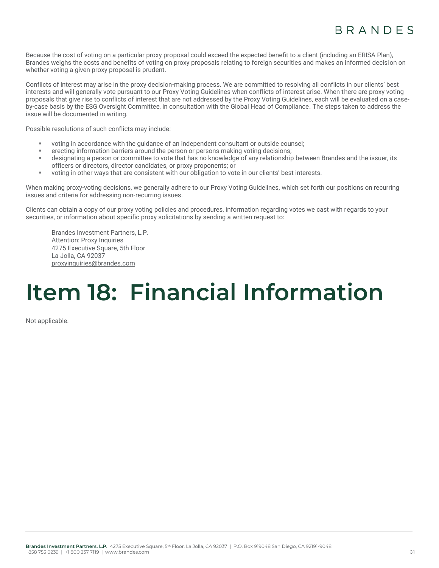Because the cost of voting on a particular proxy proposal could exceed the expected benefit to a client (including an ERISA Plan), Brandes weighs the costs and benefits of voting on proxy proposals relating to foreign securities and makes an informed decision on whether voting a given proxy proposal is prudent.

Conflicts of interest may arise in the proxy decision-making process. We are committed to resolving all conflicts in our clients' best interests and will generally vote pursuant to our Proxy Voting Guidelines when conflicts of interest arise. When there are proxy voting proposals that give rise to conflicts of interest that are not addressed by the Proxy Voting Guidelines, each will be evaluated on a caseby-case basis by the ESG Oversight Committee, in consultation with the Global Head of Compliance. The steps taken to address the issue will be documented in writing.

Possible resolutions of such conflicts may include:

- voting in accordance with the guidance of an independent consultant or outside counsel;
- erecting information barriers around the person or persons making voting decisions;
- designating a person or committee to vote that has no knowledge of any relationship between Brandes and the issuer, its officers or directors, director candidates, or proxy proponents; or
- voting in other ways that are consistent with our obligation to vote in our clients' best interests.

When making proxy-voting decisions, we generally adhere to our Proxy Voting Guidelines, which set forth our positions on recurring issues and criteria for addressing non-recurring issues.

Clients can obtain a copy of our proxy voting policies and procedures, information regarding votes we cast with regards to your securities, or information about specific proxy solicitations by sending a written request to:

Brandes Investment Partners, L.P. Attention: Proxy Inquiries 4275 Executive Square, 5th Floor La Jolla, CA 92037 [proxyinquiries@brandes.com](mailto:proxyinquiries@brandes.com)

# <span id="page-30-0"></span>**Item 18: Financial Information**

Not applicable.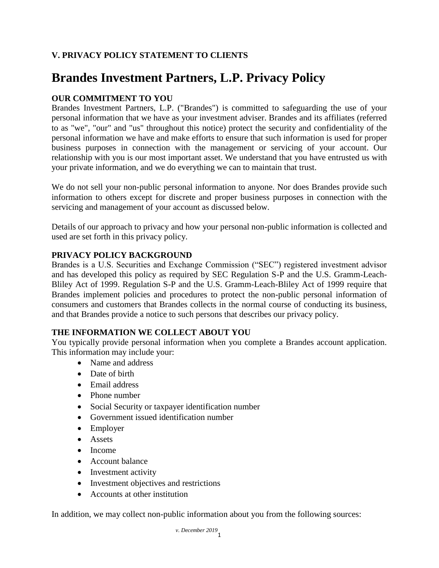# **V. PRIVACY POLICY STATEMENT TO CLIENTS**

# **Brandes Investment Partners, L.P. Privacy Policy**

# **OUR COMMITMENT TO YOU**

Brandes Investment Partners, L.P. ("Brandes") is committed to safeguarding the use of your personal information that we have as your investment adviser. Brandes and its affiliates (referred to as "we", "our" and "us" throughout this notice) protect the security and confidentiality of the personal information we have and make efforts to ensure that such information is used for proper business purposes in connection with the management or servicing of your account. Our relationship with you is our most important asset. We understand that you have entrusted us with your private information, and we do everything we can to maintain that trust.

We do not sell your non-public personal information to anyone. Nor does Brandes provide such information to others except for discrete and proper business purposes in connection with the servicing and management of your account as discussed below.

Details of our approach to privacy and how your personal non-public information is collected and used are set forth in this privacy policy.

# **PRIVACY POLICY BACKGROUND**

Brandes is a U.S. Securities and Exchange Commission ("SEC") registered investment advisor and has developed this policy as required by SEC Regulation S-P and the U.S. Gramm-Leach-Bliley Act of 1999. Regulation S-P and the U.S. Gramm-Leach-Bliley Act of 1999 require that Brandes implement policies and procedures to protect the non-public personal information of consumers and customers that Brandes collects in the normal course of conducting its business, and that Brandes provide a notice to such persons that describes our privacy policy.

### **THE INFORMATION WE COLLECT ABOUT YOU**

You typically provide personal information when you complete a Brandes account application. This information may include your:

- Name and address
- Date of birth
- Email address
- Phone number
- Social Security or taxpayer identification number
- Government issued identification number
- Employer
- Assets
- Income
- Account balance
- Investment activity
- Investment objectives and restrictions
- Accounts at other institution

In addition, we may collect non-public information about you from the following sources: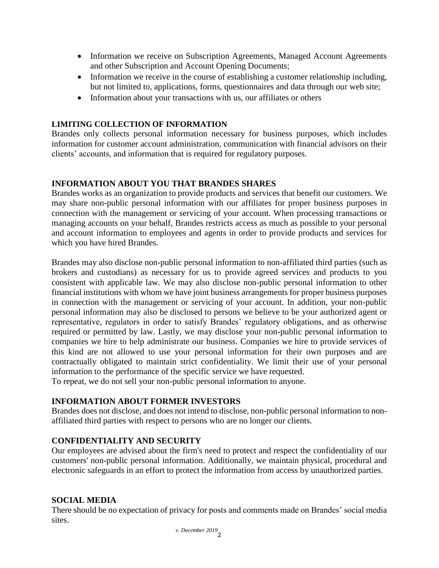- Information we receive on Subscription Agreements, Managed Account Agreements and other Subscription and Account Opening Documents;
- Information we receive in the course of establishing a customer relationship including, but not limited to, applications, forms, questionnaires and data through our web site;
- Information about your transactions with us, our affiliates or others

# **LIMITING COLLECTION OF INFORMATION**

Brandes only collects personal information necessary for business purposes, which includes information for customer account administration, communication with financial advisors on their clients' accounts, and information that is required for regulatory purposes.

# **INFORMATION ABOUT YOU THAT BRANDES SHARES**

Brandes works as an organization to provide products and services that benefit our customers. We may share non-public personal information with our affiliates for proper business purposes in connection with the management or servicing of your account. When processing transactions or managing accounts on your behalf, Brandes restricts access as much as possible to your personal and account information to employees and agents in order to provide products and services for which you have hired Brandes.

Brandes may also disclose non-public personal information to non-affiliated third parties (such as brokers and custodians) as necessary for us to provide agreed services and products to you consistent with applicable law. We may also disclose non-public personal information to other financial institutions with whom we have joint business arrangements for proper business purposes in connection with the management or servicing of your account. In addition, your non-public personal information may also be disclosed to persons we believe to be your authorized agent or representative, regulators in order to satisfy Brandes' regulatory obligations, and as otherwise required or permitted by law. Lastly, we may disclose your non-public personal information to companies we hire to help administrate our business. Companies we hire to provide services of this kind are not allowed to use your personal information for their own purposes and are contractually obligated to maintain strict confidentiality. We limit their use of your personal information to the performance of the specific service we have requested.

To repeat, we do not sell your non-public personal information to anyone.

# **INFORMATION ABOUT FORMER INVESTORS**

Brandes does not disclose, and does not intend to disclose, non-public personal information to nonaffiliated third parties with respect to persons who are no longer our clients.

### **CONFIDENTIALITY AND SECURITY**

Our employees are advised about the firm's need to protect and respect the confidentiality of our customers' non-public personal information. Additionally, we maintain physical, procedural and electronic safeguards in an effort to protect the information from access by unauthorized parties.

### **SOCIAL MEDIA**

There should be no expectation of privacy for posts and comments made on Brandes' social media sites.